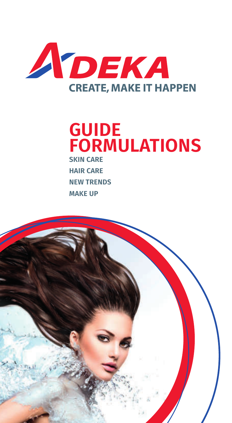

# **GUIDE FORMULATIONS SKIN CARE**

**HAIR CARE NEW TRENDS MAKE UP**

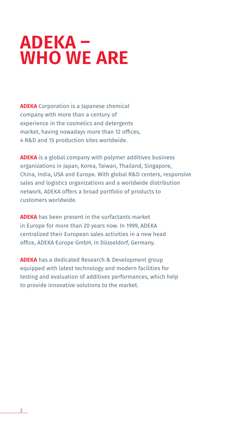# **ADEKA – WHO WE ARE**

**ADEKA** Corporation is a Japanese chemical company with more than a century of experience in the cosmetics and detergents market, having nowadays more than 12 offices, 4 R&D and 15 production sites worldwide.

**ADEKA** is a global company with polymer additives business organizations in Japan, Korea, Taiwan, Thailand, Singapore, China, India, USA and Europe. With global R&D centers, responsive sales and logistics organizations and a worldwide distribution network, ADEKA offers a broad portfolio of products to customers worldwide.

**ADEKA** has been present in the surfactants market in Europe for more than 20 years now. In 1999, ADEKA centralized their European sales activities in a new head office, ADEKA Europe GmbH, in Düsseldorf, Germany.

**ADEKA** has a dedicated Research & Development group equipped with latest technology and modern facilities for testing and evaluation of additives performances, which help to provide innovative solutions to the market.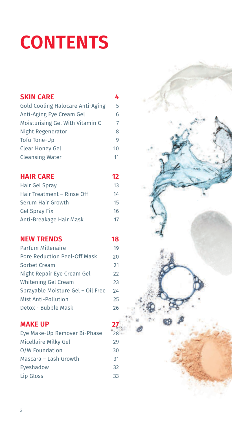# **CONTENTS**

| <b>SKIN CARE</b>                        | 4              |
|-----------------------------------------|----------------|
| <b>Gold Cooling Halocare Anti-Aging</b> | 5              |
| Anti-Aging Eye Cream Gel                | 6              |
| Moisturising Gel With Vitamin C         | $\overline{7}$ |
| Night Regenerator                       | 8              |
| <b>Tofu Tone-Up</b>                     | 9              |
| <b>Clear Honey Gel</b>                  | 10             |
| <b>Cleansing Water</b>                  | 11             |
| <b>HAIR CARE</b>                        | 12             |
| Hair Gel Spray                          | 13             |
| Hair Treatment - Rinse Off              | 14             |
| Serum Hair Growth                       | 15             |
| <b>Gel Spray Fix</b>                    | 16             |
| Anti-Breakage Hair Mask                 | 17             |
| <b>NEW TRENDS</b>                       | 18             |
| Parfum Millenaire                       | 19             |
| <b>Pore Reduction Peel-Off Mask</b>     | 20             |
| Sorbet Cream                            | 21             |
| Night Repair Eye Cream Gel              | 22             |
| <b>Whitening Gel Cream</b>              | 23             |
| Sprayable Moisture Gel - Oil Free       | 24             |

## **MAKE UP**

Eye Make-Up Remover Bi-Phase 28 Micellaire Milky Gel 29 O/W Foundation 30 Mascara – Lash Growth 31 Eyeshadow 32 Lip Gloss 33

Mist Anti-Pollution 25 Detox - Bubble Mask 26

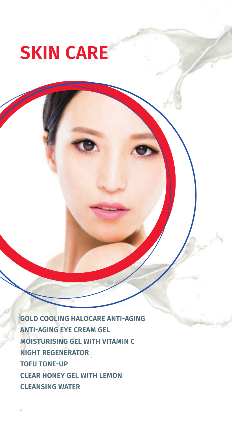# **SKIN CARE**

**GOLD COOLING HALOCARE ANTI-AGING ANTI-AGING EYE CREAM GEL MOISTURISING GEL WITH VITAMIN C NIGHT REGENERATOR TOFU TONE-UP CLEAR HONEY GEL WITH LEMON CLEANSING WATER**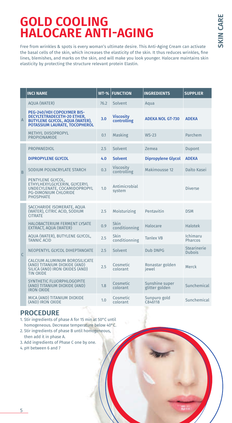# **GOLD COOLING HALOCARE ANTI-AGING**

Free from wrinkles & spots is every woman's ultimate desire. This Anti-Aging Cream can activate the basal cells of the skin, which increases the elasticity of the skin. It thus reduces wrinkles, fine lines, blemishes, and marks on the skin, and will make you look younger. Halocare maintains skin elasticity by protecting the structure relevant protein Elastin.

|                | <b>INCI NAME</b>                                                                                                                     | $WT-%$ | <b>FUNCTION</b>                 | <b>INGREDIENTS</b>               | <b>SUPPLIER</b>              |
|----------------|--------------------------------------------------------------------------------------------------------------------------------------|--------|---------------------------------|----------------------------------|------------------------------|
|                | <b>AQUA (WATER)</b>                                                                                                                  | 76.2   | Solvent                         | Aqua                             |                              |
| $\overline{A}$ | PEG-240/HDI COPOLYMER BIS-<br>DECYLTETRADECETH-20 ETHER,<br><b>BUTYLENE GLYCOL, AQUA (WATER),</b><br>POTASSIUM LAURATE, TOCOPHEROL   | 3.0    | <b>Viscosity</b><br>controlling | <b>ADEKA NOL GT-730</b>          | <b>ADEKA</b>                 |
|                | <b>METHYL DIISOPROPYL</b><br>PROPIONAMIDE                                                                                            | 0.1    | Masking                         | $WS-23$                          | Parchem                      |
|                | PROPANEDIOL                                                                                                                          | 2.5    | Solvent                         | Zemea                            | <b>Dupont</b>                |
|                | <b>DIPROPYLENE GLYCOL</b>                                                                                                            | 4.0    | <b>Solvent</b>                  | <b>Dipropylene Glycol</b>        | <b>ADEKA</b>                 |
| $\overline{B}$ | SODIUM POLYACRYLATE STARCH                                                                                                           | 0.3    | <b>Viscosity</b><br>controlling | Makimousse 12                    | Daïto Kasei                  |
|                | PENTYLENE GLYCOL,<br>ETHYLHEXYLGLYCERIN, GLYCERYL<br>UNDECYLENATE, COCAMIDOPROPYL<br><b>PG-DIMONIUM CHLORIDE</b><br><b>PHOSPHATE</b> | 1.0    | Antimicrobial<br>system         |                                  | <b>Diverse</b>               |
|                | SACCHARIDE ISOMERATE. AOUA<br>(WATER), CITRIC ACID, SODIUM<br><b>CITRATE</b>                                                         | 2.5    | Moisturizing                    | Pentavitin                       | <b>DSM</b>                   |
|                | HALOBACTERIUM FERMENT LYSATE<br>EXTRACT, AQUA (WATER)                                                                                | 0.9    | Skin<br>conditionning           | Halocare                         | Halotek                      |
|                | AQUA (WATER), BUTYLENE GLYCOL,<br><b>TANNIC ACID</b>                                                                                 | 2.5    | Skin<br>conditionning           | <b>Tanlex VB</b>                 | <b>Ichimaru</b><br>Pharcos   |
| $\mathsf{C}$   | NEOPENTYL GLYCOL DIHEPTANOATE                                                                                                        | 2.5    | Solvent                         | Dub DNPG                         | Stearinerie<br><b>Dubois</b> |
|                | CALCIUM ALUMINUM BOROSILICATE<br>(AND) TITANIUM DIOXIDE (AND)<br>SILICA (AND) IRON OXIDES (AND)<br><b>TIN OXIDE</b>                  | 2.5    | Cosmetic<br>colorant            | Ronastar golden<br>iewel         | Merck                        |
|                | SYNTHETIC FLUORPHLOGOPITE<br>(AND) TITANIUM DIOXIDE (AND)<br><b>IRON OXIDE</b>                                                       | 1.8    | Cosmetic<br>colorant            | Sunshine super<br>glitter golden | Sunchemical                  |
|                | MICA (AND) TITANIUM DIOXIDE<br>(AND) IRON OXIDE                                                                                      | 1.0    | Cosmetic<br>colorant            | Sunpuro gold<br>C846118          | Sunchemical                  |

- 1. Stir ingredients of phase A for 15 min at 50°C until homogeneous. Decrease temperature below 40°C.
- 2. Stir ingredients of phase B until homogeneous, then add it in phase A.
- 3. Add ingredients of Phase C one by one.
- 4. pH between 6 and 7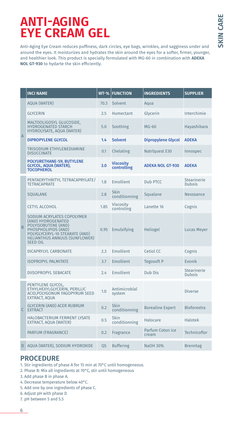# **ANTI-AGING EYE CREAM GEL**

Anti-Aging Eye Cream reduces puffiness, dark circles, eye bags, wrinkles, and sagginess under and around the eyes. It moisturizes and hydrates the skin around the eyes for a softer, firmer, younger, and healthier look. This product is specially formulated with MG-60 in combination with **ADEKA NOL GT-930** to hydarte the skin efficiently.

|              | <b>INCI NAME</b>                                                                                                                                                                            | $WT-%$    | <b>FUNCTION</b>                 | <b>INGREDIENTS</b>        | <b>SUPPLIER</b>                     |
|--------------|---------------------------------------------------------------------------------------------------------------------------------------------------------------------------------------------|-----------|---------------------------------|---------------------------|-------------------------------------|
|              | <b>AQUA (WATER)</b>                                                                                                                                                                         | 70.3      | Solvent                         | Aqua                      |                                     |
|              | <b>GLYCERIN</b>                                                                                                                                                                             | 2.5       | <b>Humectant</b>                | Glycerin                  | Interchimie                         |
|              | MALTOOLIGOSYL GLUCOSIDE.<br><b>HYDROGENATED STARCH</b><br>HYDROLYSATE, AQUA (WATER)                                                                                                         | 5.0       | Soothing                        | $MG-60$                   | Hayashibara                         |
| $\mathsf{A}$ | <b>DIPROPYLENE GLYCOL</b>                                                                                                                                                                   | 1.4       | <b>Solvent</b>                  | <b>Dipropylene Glycol</b> | <b>ADEKA</b>                        |
|              | TRISODIUM ETHYLENEDIAMINE<br><b>DISUCCINATE</b>                                                                                                                                             | 0.1       | Chelating                       | Natriquest E30            | Innospec                            |
|              | <b>POLYURETHANE-59, BUTYLENE</b><br><b>GLYCOL, AQUA (WATER),</b><br><b>TOCOPHEROL</b>                                                                                                       | 3.0       | <b>Viscosity</b><br>controlling | <b>ADEKA NOL GT-930</b>   | <b>ADEKA</b>                        |
|              | PENTAERYTHRITYL TETRACAPRYLATE/<br><b>TETRACAPRATE</b>                                                                                                                                      | 1.8       | <b>Emollient</b>                | Dub PTCC                  | <b>Stearinerie</b><br><b>Dubois</b> |
|              | SQUALANE                                                                                                                                                                                    | 2.8       | Skin<br>conditionning           | Squalane                  | Neossance                           |
|              | <b>CETYL ALCOHOL</b>                                                                                                                                                                        | 1.85      | Viscosity<br>controling         | Lanette 16                | Cognis                              |
| B            | SODIUM ACRYLATES COPOLYMER<br>(AND) HYDROGENATED<br>POLYISOBUTENE (AND)<br>PHOSPHOLIPIDS (AND)<br>POLYGLYCERYL-10 STEARATE (AND)<br><b>HELIANTHUS ANNUUS (SUNFLOWER)</b><br><b>SEED OIL</b> | 0.95      | Emulsifying                     | Heliogel                  | <b>Lucas Meyer</b>                  |
|              | DICAPRYLYL CARBONATE                                                                                                                                                                        | 2.3       | Emollient                       | Cetiol CC                 | Cognis                              |
|              | <b>ISOPROPYL PALMITATE</b>                                                                                                                                                                  | 3.7       | Emollient                       | Tegosoft P                | Evonik                              |
|              | <b>DIISOPROPYL SEBACATE</b>                                                                                                                                                                 | 2.4       | Emollient                       | Dub Dis                   | <b>Stearinerie</b><br><b>Dubois</b> |
|              | PENTYLENE GLYCOL,<br>ETHYLHEXYLGLYCERIN, PERILLIC<br>ACID, POLYGONUM FAGOPYRUM SEED<br>EXTRACT, AQUA                                                                                        | 1.0       | Antimicrobial<br>system         |                           | <b>Diverse</b>                      |
| $\mathsf{C}$ | <b>GLYCERIN (AND) ACER RUBRUM</b><br><b>EXTRACT</b>                                                                                                                                         | 0.2       | Skin<br>conditionning           | <b>Borealine Expert</b>   | <b>Bioforextra</b>                  |
|              | HALOBACTERIUM FERMENT LYSATE<br>EXTRACT, AQUA (WATER)                                                                                                                                       | 0.5       | Skin<br>conditionning           | Halocare                  | Halotek                             |
|              | PARFUM (FRAGRANCE)                                                                                                                                                                          | 0.2       | Fragrance                       | Parfum Coton ice<br>cream | Technicoflor                        |
| D            | AQUA (WATER), SODIUM HYDROXIDE                                                                                                                                                              | <b>OS</b> | <b>Buffering</b>                | <b>NaOH 30%</b>           | <b>Brenntag</b>                     |

- 1. Stir ingredients of phase A for 15 min at 70°C until homogeneous.
- 2. Phase B: Mix all ingredients at 70°C, stir until homogeneous
- 3. Add phase B in phase A.
- 4. Decrease temperature below 40°C.
- 5. Add one by one ingredients of phase C.
- 6. Adjust pH with phase D
- 7. pH between 5 and 5.5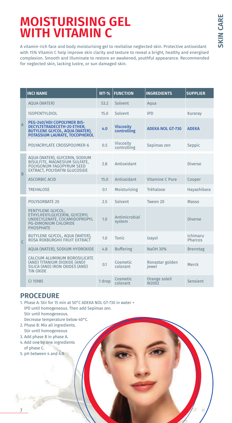## **MOISTURISING GEL WITH VITAMIN C**

A vitamin-rich face and body moisturising gel to revitalise neglected skin. Protective antioxidant with 15% Vitamin C help improve skin clarity and texture to reveal a bright, healthy and energised complexion. Smooth and illuminate to restore an awakened, youthful appearance. Recommended for neglected skin, lacking lustre, or sun damaged skin.

|                | <b>INCI NAME</b>                                                                                                                                 | $WT-%$ | <b>FUNCTION</b>                 | <b>INGREDIENTS</b>       | <b>SUPPLIER</b>     |
|----------------|--------------------------------------------------------------------------------------------------------------------------------------------------|--------|---------------------------------|--------------------------|---------------------|
|                | <b>AQUA (WATER)</b>                                                                                                                              | 53.2   | Solvent                         | Aqua                     |                     |
|                | <b>ISOPENTYLDIOL</b>                                                                                                                             | 15.0   | Solvent                         | <b>IPD</b>               | Kuraray             |
| $\overline{A}$ | <b>PEG-240/HDI COPOLYMER BIS-</b><br><b>DECYLTETRADECETH-20 ETHER,</b><br><b>BUTYLENE GLYCOL, AQUA (WATER),</b><br>POTASSIUM LAURATE, TOCOPHEROL | 4.0    | <b>Viscosity</b><br>controlling | <b>ADEKA NOL GT-730</b>  | <b>ADEKA</b>        |
|                | POLYACRYLATE CROSSPOLYMER-6                                                                                                                      | 0.5    | Viscosity<br>controlling        | Sepimax zen              | Seppic              |
|                | AQUA (WATER), GLYCERIN, SODIUM<br>BISULFITE, MAGNESIUM SULFATE,<br>POLYGONUM FAGOPYRUM SEED<br>EXTRACT, POLYDATIN GLUCOSIDE                      | 2.8    | Antioxidant                     |                          | Diverse             |
| B              | <b>ASCORBIC ACID</b>                                                                                                                             | 15.0   | Antioxidant                     | Vitamine C Pure          | Cooper              |
|                | <b>TREHALOSE</b>                                                                                                                                 | 0.1    | Moisturizing                    | Tréhalose                | Hayashibara         |
|                | POLYSORBATE 20                                                                                                                                   | 2.5    | Solvent                         | Tween 20                 | Masso               |
|                | PENTYLENE GLYCOL,<br>ETHYLHEXYLGLYCERIN, GLYCERYL<br>UNDECYLENATE, COCAMIDOPROPYL<br><b>PG-DIMONIUM CHLORIDE</b><br><b>PHOSPHATE</b>             | 1.0    | Antimicrobial<br>system         |                          | Diverse             |
| $\mathsf{C}$   | BUTYLENE GLYCOL, AQUA (WATER),<br>ROSA ROXBURGHII FRUIT EXTRACT                                                                                  | 1.0    | <b>Tonic</b>                    | Izayoï                   | Ichimaru<br>Pharcos |
|                | AQUA (WATER), SODIUM HYDROXIDE                                                                                                                   | 4.8    | <b>Buffering</b>                | NaOH 30%                 | <b>Brenntag</b>     |
|                | CALCIUM ALUMINUM BOROSILICATE<br>(AND) TITANIUM DIOXIDE (AND)<br>SILICA (AND) IRON OXIDES (AND)<br><b>TIN OXIDE</b>                              | 0.1    | Cosmetic<br>colorant            | Ronastar golden<br>iewel | Merck               |
|                | CI 15985                                                                                                                                         | 1 drop | Cosmetic<br>colorant            | Orange soleil<br>W2002   | Sensient            |

- 1. Phase A: Stir for 15 min at 50°C ADEKA NOL GT-730 in water + IPD until homogeneous. Then add Sepimax zen. Stir until homogeneous. Decrease temperature below 40°C.
- 2. Phase B: Mix all ingredients.
- Stir until homogeneous 3. Add phase B in phase A.
- 4. Add one by one ingredients of phase C.
- 5. pH between 4 and 4.0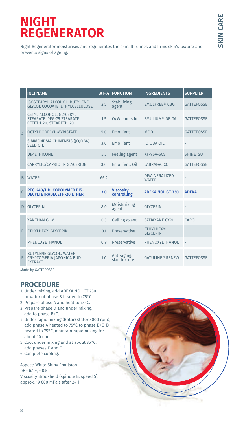## **NIGHT REGENERATOR**

Night Regenerator moisturises and regenerates the skin. It refines and firms skin's texture and prevents signs of ageing.

|                | <b>INCI NAME</b>                                                                       | $WT-%$ | <b>FUNCTION</b>                 | <b>INGREDIENTS</b>                   | <b>SUPPLIER</b>   |
|----------------|----------------------------------------------------------------------------------------|--------|---------------------------------|--------------------------------------|-------------------|
|                | <b>ISOSTEARYL ALCOHOL, BUTYLENE</b><br>GLYCOL COCOATE, ETHYLCELLULOSE                  | 2.5    | <b>Stabilizing</b><br>agent     | <b>EMULFREE® CBG</b>                 | <b>GATTEFOSSE</b> |
|                | <b>CETYL ALCOHOL, GLYCERYL</b><br>STEARATE. PEG-75 STEARATE.<br>CETETH-20, STEARETH-20 | 1.5    |                                 | O/W emulsifier EMULIUM® DELTA        | <b>GATTEFOSSE</b> |
| $\overline{A}$ | <b>OCTYLDODECYL MYRISTATE</b>                                                          | 5.0    | Emollient                       | <b>MOD</b>                           | <b>GATTEFOSSE</b> |
|                | SIMMONDSIA CHINENSIS (IOIOBA)<br><b>SEED OIL</b>                                       | 3.0    | Emollient                       | <b>IOIOBA OIL</b>                    |                   |
|                | <b>DIMETHICONE</b>                                                                     | 5.5    | <b>Feeling agent</b>            | <b>KF-96A-6CS</b>                    | <b>SHINETSU</b>   |
|                | CAPRYLIC/CAPRIC TRIGLYCERIDE                                                           | 3.0    | Emollient, Oil                  | <b>LABRAFAC CC</b>                   | <b>GATTEFOSSE</b> |
| $\overline{B}$ | <b>WATER</b>                                                                           | 662    |                                 | <b>DEMINERALIZED</b><br><b>WATER</b> |                   |
|                | PEG-240/HDI COPOLYMER BIS-<br><b>DECYLTETRADECETH-20 ETHER</b>                         | 3.0    | <b>Viscosity</b><br>controlling | <b>ADEKA NOL GT-730</b>              | <b>ADEKA</b>      |
| D              | <b>GIVCERIN</b>                                                                        | 8.0    | Moisturizing<br>agent           | <b>GLYCERIN</b>                      |                   |
|                | <b>XANTHAN GUM</b>                                                                     | 0.3    | <b>Gelling agent</b>            | SATIAXANE CX91                       | CARGILL           |
| E              | ETHYLHEXYLGLYCERIN                                                                     | 0.1    | Preservative                    | ETHYLHEXYL-<br><b>GLYCERIN</b>       |                   |
|                | PHENOXYETHANOL                                                                         | 0.9    | Preservative                    | PHENOXYETHANOL                       |                   |
|                | <b>BUTYLENE GLYCOL, WATER.</b><br>CRYPTOMERIA JAPONICA BUD<br><b>EXTRACT</b>           | 1.0    | Anti-aging.<br>skin texture     | <b>GATULINE® RENEW</b>               | <b>GATTEFOSSE</b> |

Made by GATTEFOSSE

### **PROCEDURE**

- 1. Under mixing, add ADEKA NOL GT-730 to water of phase B heated to 75°C.
- 2. Prepare phase A and heat to 75°C.
- 3. Prepare phase D and under mixing, add to phase B+C.
- 4. Under rapid mixing (Rotor/Stator 3000 rpm), add phase A heated to 75°C to phase B+C+D heated to 75°C, maintain rapid mixing for about 10 min.
- 5. Cool under mixing and at about 35°C, add phases E and F.
- 6. Complete cooling.

Aspect: White Shiny Emulsion pH= 6.1 +/- 0.5 Viscosity Brookfield (spindle B, speed 5): approx. 19 600 mPa.s after 24H

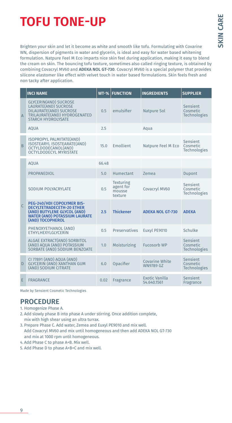# **TOFU TONE-UP**

Brighten your skin and let it become as white and smooth like tofu. Formulating with Covarine WN, dispersion of pigments in water and glycerin, is ideal and easy for water based whitening formulation. Natpure Feel M Eco imparts nice skin feel during application, making it easy to blend the cream on skin. The bouncing tofu texture, sometimes also called ringing texture, is obtained by combining Covacryl MV60 and **ADEKA NOL GT-730**. Covacryl MV60 is a special polymer that provides silicone elastomer like effect with velvet touch in water based formulations. Skin feels fresh and non tacky after application.

|                | <b>INCI NAME</b>                                                                                                                                          |       | <b>WT-% FUNCTION</b>                               | <b>INGREDIENTS</b>                   | <b>SUPPLIER</b>                             |
|----------------|-----------------------------------------------------------------------------------------------------------------------------------------------------------|-------|----------------------------------------------------|--------------------------------------|---------------------------------------------|
| $\overline{A}$ | <b>GLYCERIN(AND) SUCROSE</b><br>LAURATE(AND) SUCROSE<br>DILAURATE(AND) SUCROSE<br>TRILAURATE(AND) HYDROGENATED<br><b>STARCH HYDROLYSATE</b>               | 0.5   | emulsifier                                         | <b>Natpure Sol</b>                   | Sensient<br>Cosmetic<br><b>Technologies</b> |
|                | <b>AQUA</b>                                                                                                                                               | 2.5   |                                                    | Aqua                                 |                                             |
| B              | <b>ISOPROPYL PALMITATE(AND)</b><br>ISOSTEARYL ISOSTEARATE(AND)<br>OCTYLDODECANOL(AND)<br><b>OCTYLDODECYL MYRISTATE</b>                                    | 15.0  | Emollient                                          | Natpure Feel M Eco                   | Sensient<br>Cosmetic<br><b>Technologies</b> |
|                | <b>AOUA</b>                                                                                                                                               | 66.48 |                                                    |                                      |                                             |
|                | <b>PROPANEDIOL</b>                                                                                                                                        | 5.0   | <b>Humectant</b>                                   | Zemea                                | Dupont                                      |
|                | SODIUM POLYACRYLATE                                                                                                                                       | 0.5   | <b>Texturing</b><br>agent for<br>mousse<br>texture | Covacryl MV60                        | Sensient<br>Cosmetic<br><b>Technologies</b> |
| $\mathsf{C}$   | PEG-240/HDI COPOLYMER BIS-<br><b>DECYLTETRADECETH-20 ETHER</b><br>(AND) BUTYLENE GLYCOL (AND)<br><b>WATER (AND) POTASSIUM LAURATE</b><br>(AND) TOCOPHEROL | 2.5   | <b>Thickener</b>                                   | <b>ADEKA NOL GT-730</b>              | <b>ADFKA</b>                                |
|                | PHENOXYETHANOL (AND)<br><b>ETHYLHEXYLGLYCERIN</b>                                                                                                         | 0.5   | Preservatives                                      | Euxyl PE9010                         | Schulke                                     |
|                | ALGAE EXTRACT(AND) SORBITOL<br>(AND) AQUA (AND) POTASSIUM<br>SORBATE (AND) SODIUM BENZOATE                                                                | 1.0   | Moisturizing                                       | <b>Fucosorb WP</b>                   | Sensient<br>Cosmetic<br><b>Technologies</b> |
| D              | CI 77891 (AND) AQUA (AND)<br><b>GLYCERIN (AND) XANTHAN GUM</b><br>(AND) SODIUM CITRATE                                                                    | 6.0   | Opacifier                                          | Covarine White<br><b>WN9789 GZ</b>   | Sensient<br>Cosmetic<br><b>Technologies</b> |
| F              | <b>FRAGRANCE</b>                                                                                                                                          | 0.02  | Fragrance                                          | <b>Exotic Vanilla</b><br>54.640.1561 | Sensient<br>Fragrance                       |

Made by Sensient Cosmetic Technologies

- 1. Homogenize Phase A.
- 2. Add slowly phase B into phase A under stirring. Once addition complete, mix with high shear using an ultra turrax.
- 3. Prepare Phase C. Add water, Zemea and Euxyl PE9010 and mix well. Add Covacryl MV60 and mix until homogeneous and then add ADEKA NOL GT-730 and mix at 1000 rpm until homogeneous.
- 4. Add Phase C to phase A+B. Mix well.
- 5. Add Phase D to phase A+B+C and mix well.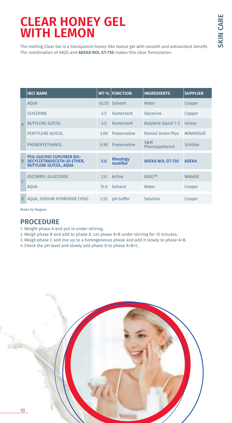# **CLEAR HONEY GEL WITH LEMON**

The melting Clear Gel is a transparent honey-like textue gel with smooth and antioxidant benefit. The combination of AA2G and **ADEKA NOL GT-730** makes this clear formulation.

|                | <b>INCI NAME</b>                                                                        |       | <b>WT-% FUNCTION</b>        | <b>INGREDIENTS</b>         | <b>SUPPLIER</b>  |
|----------------|-----------------------------------------------------------------------------------------|-------|-----------------------------|----------------------------|------------------|
|                | <b>AOUA</b>                                                                             | 62.55 | Solvent                     | <b>Water</b>               | Cooper           |
|                | <b>GLYCERINE</b>                                                                        | 4.5   | Humectant                   | Glycerine                  | Copper           |
| $\overline{A}$ | <b>BUTYLENE GLYCOL</b>                                                                  | 4.5   | Humectant                   | <b>Butylene Glycol 1-3</b> | Univar           |
|                | PENTYLENE GLYCOL                                                                        | 3.00  | Preservative                | <b>Pentiol Green Plus</b>  | <b>MINASOLVE</b> |
|                | PHENOXYETHANOL                                                                          | 0.90  | Preservative                | S&M<br>Phenoxyethanol      | Schülke          |
| B              | PEG-240/HDI COPLYMER BIS-<br>DECYLTETRADECETH-20 ETHER,<br><b>BUTYLENE GLYCOL, AQUA</b> | 5.0   | <b>Rheology</b><br>modifier | <b>ADEKA NOL GT-730</b>    | <b>ADEKA</b>     |
|                | ASCORBYL GLUCOSIDE                                                                      | 2.0   | Active                      | AA2G™                      | <b>NAGASE</b>    |
| $\mathsf{C}$   | <b>AOUA</b>                                                                             | 15.0  | Solvent                     | Water                      | Cooper           |
| D              | AQUA, SODIUM HYDROXIDE (10%)                                                            | 2.55  | pH buffer                   | Solution                   | Cooper           |

Made by Nagase

- 1. Weight phase A and put in under stirring.
- 2. Weigh phase B and add to phase A. Let phase A+B under stirring for 15 minutes.
- 3. Weigh phase C and mix up to a homogeneous phase and add it slowly to phase A+B.
- 4. Check the pH level and slowly add phase D to phase A+B+C.

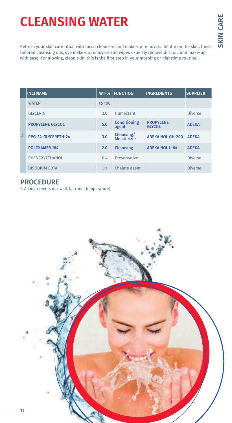# **CLEANSING WATER**

Refresh your skin care ritual with facial cleansers and make-up removers. Gentle on the skin, these tailored cleansing oils, eye make-up removers and wipes expertly remove dirt, oil, and make-up with ease. For glowing, clean skin, this is the first step in your morning or nighttime routine.

|                | <b>INCI NAME</b>        | $WT-%$ | <b>FUNCTION</b>                  | <b>INGREDIENTS</b>                | <b>SUPPLIER</b> |
|----------------|-------------------------|--------|----------------------------------|-----------------------------------|-----------------|
|                | <b>WATER</b>            | to 100 |                                  |                                   |                 |
|                | <b>GLYCERIN</b>         | 3.0    | Humectant                        |                                   | <b>Diverse</b>  |
|                | <b>PROPYLENE GLYCOL</b> | 5.0    | <b>Conditioning</b><br>agent     | <b>PROPYLENE</b><br><b>GLYCOL</b> | <b>ADEKA</b>    |
| $\overline{A}$ | PPG-24-GLYCERETH-24     | 3.0    | <b>Cleansing/</b><br>Moisturizer | <b>ADEKA NOL GH-200</b>           | <b>ADEKA</b>    |
|                | <b>POLOXAMER 184</b>    | 2.0    | <b>Cleansing</b>                 | <b>ADEKA NOL L-64</b>             | <b>ADEKA</b>    |
|                | PHENOXYETHANOL          | 0.4    | Preservative                     |                                   | <b>Diverse</b>  |
|                | <b>DISODIUM EDTA</b>    | 0.1    | Chelate agent                    |                                   | <b>Diverse</b>  |

## **PROCEDURE**

1. All ingredients mix well. (at room temperature)

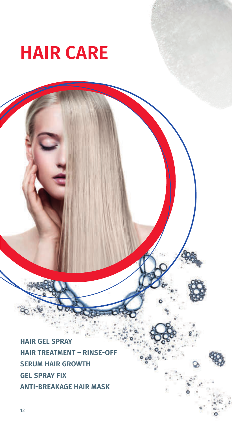

**HAIR GEL SPRAY HAIR TREATMENT – RINSE-OFF SERUM HAIR GROWTH GEL SPRAY FIX ANTI-BREAKAGE HAIR MASK**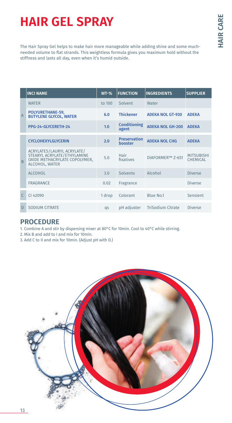# **HAIR GEL SPRAY**

The Hair Spray Gel helps to make hair more manageable while adding shine and some muchneeded volume to flat strands. This weightless formula gives you maximum hold without the stiffness and lasts all day, even when it's humid outside.

|                | <b>INCI NAME</b>                                                                                             | $WT-%$ | <b>FUNCTION</b>                | <b>INGREDIENTS</b>      | <b>SUPPLIER</b>               |
|----------------|--------------------------------------------------------------------------------------------------------------|--------|--------------------------------|-------------------------|-------------------------------|
| $\overline{A}$ | <b>WATER</b>                                                                                                 | to 100 | Solvent                        | Water                   |                               |
|                | POLYURETHANE-59,<br><b>BUTYLENE GLYCOL, WATER</b>                                                            | 6.0    | <b>Thickener</b>               | <b>ADEKA NOL GT-930</b> | <b>ADEKA</b>                  |
|                | PPG-24-GLYCERETH-24                                                                                          | 1.0    | <b>Conditioning</b><br>agent   | <b>ADEKA NOL GH-200</b> | <b>ADEKA</b>                  |
| B              | <b>CYCLOHEXYLGLYCERIN</b>                                                                                    | 2.0    | <b>Preservation</b><br>booster | <b>ADEKA NOL CHG</b>    | <b>ADEKA</b>                  |
|                | ACRYLATES/LAURYL ACRYLATE/<br>STEARYL ACRYLATE/ETHYLAMINE<br>OXIDE METHACRYLATE COPOLYMER,<br>ALCOHOL, WATER | 5.0    | Hair<br>fixatives              | DIAFORMER™ Z-651        | <b>MITSUBISHI</b><br>CHEMICAL |
|                | <b>ALCOHOL</b>                                                                                               | 3.0    | Solvents                       | Alcohol                 | <b>Diverse</b>                |
|                | <b>FRAGRANCE</b>                                                                                             | 0.02   | Fragrance                      |                         | <b>Diverse</b>                |
| $\mathsf{C}$   | CI 42090                                                                                                     | 1 drop | Colorant                       | <b>Blue No.1</b>        | Sensient                      |
| D              | <b>SODIUM CITRATE</b>                                                                                        | qs     | pH adiuster                    | TriSodium Citrate       | Diverse                       |

### **PROCEDURE**

1. Combine A and stir by dispersing mixer at 80°C for 10min. Cool to 40°C while stirring.

- 2. Mix B and add to I and mix for 10min.
- 3. Add C to II and mix for 10min. (Adjust pH with D.)

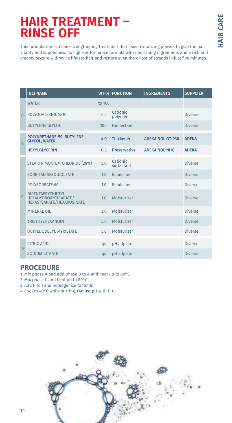# **HAIR TREATMENT – RINSE OFF**

This formulation is a hair-strengthening treatment that uses revitalizing powers to give the hair vitality and suppleness. Its high-performance formula with nourishing ingredients and a rich and creamy texture will revive lifeless hair and restore even the driest of strands in just five minutes.

|                | <b>INCI NAME</b>                                                                     | $WT-%$         | <b>FUNCTION</b>        | <b>INGREDIENTS</b>      | <b>SUPPLIER</b> |
|----------------|--------------------------------------------------------------------------------------|----------------|------------------------|-------------------------|-----------------|
|                | <b>WATER</b>                                                                         | to 100         |                        |                         |                 |
| $\overline{A}$ | POLYOUATERNIUM-10                                                                    | 0.5            | Cationic<br>polymer    |                         | Diverse         |
|                | <b>BUTYLENE GLYCOL</b>                                                               | 10.0           | Humectant              |                         | <b>Diverse</b>  |
| $\overline{B}$ | POLYURETHANE-59, BUTYLENE<br><b>GLYCOL, WATER</b>                                    | 4.0            | <b>Thickener</b>       | <b>ADEKA NOL GT-930</b> | <b>ADEKA</b>    |
|                | <b>HEXYLGLYCERIN</b>                                                                 | 0.3            | <b>Preservative</b>    | <b>ADEKA NOL NHG</b>    | <b>ADEKA</b>    |
|                | STEARTRIMONIUM CHLORIDE (28%)                                                        | 5.0            | Cationic<br>surfactant |                         | <b>Diverse</b>  |
|                | SORBITAN SESQUIOLEATE                                                                | 1.5            | Emulsifier             |                         | Diverse         |
|                | POLYSORBATE 60                                                                       | 1.0            | Emulsifier             |                         | <b>Diverse</b>  |
| $\mathsf{C}$   | <b>DIPENTAERYTHRITYL</b><br>HEXAHYDROXYSTEARATE/<br><b>HEXASTEARATE/HEXAROSINATE</b> | 1.0            | Moisturizer            |                         | <b>Diverse</b>  |
|                | <b>MINERAL OIL</b>                                                                   | 3.0            | Moisturizer            |                         | Diverse         |
|                | <b>TRIETHYLHEXANOIN</b>                                                              | 5.0            | Moisturizer            |                         | <b>Diverse</b>  |
|                | <b>OCTYLDODECYL MYRISTATE</b>                                                        | 5.0            | Moisturizer            |                         | <b>Diverse</b>  |
| D              | CITRIC ACID                                                                          | qs             | pH adjuster            |                         | <b>Diverse</b>  |
|                | <b>SODIUM CITRATE</b>                                                                | $\overline{a}$ | pH adjuster            |                         | <b>Diverse</b>  |

- 1. Mix phase A and add phase B to A and heat up to 80°C.
- 2. Mix phase C and heat up to 80°C.
- 3. Add II to I and homogenize for 5min .
- 4. Cool to 40°C while stirring. (Adjust pH with D.)

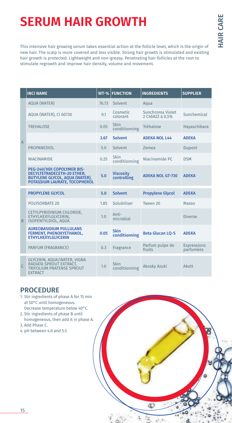# **SERUM HAIR GROWTH**

This intensive hair growing serum takes essential action at the follicle level, which is the origin of new hair. The scalp is more covered and less visible. Strong hair growth is stimulated and existing hair growth is protected. Lightweight and non-greasy. Penetrating hair follicles at the root to stimulate regrowth and improve hair density, volume and movement.

|                | <b>INCI NAME</b>                                                                                                                   | $WT-%$ | <b>FUNCTION</b>                 | <b>INGREDIENTS</b>                  | <b>SUPPLIER</b>          |
|----------------|------------------------------------------------------------------------------------------------------------------------------------|--------|---------------------------------|-------------------------------------|--------------------------|
|                | <b>AQUA (WATER)</b>                                                                                                                | 76.73  | Solvent                         | Aqua                                |                          |
|                | AQUA (WATER), CI 60730                                                                                                             | 0.1    | Cosmetic<br>colorant            | Sunchroma Violet<br>2 C46A22 à 0.5% | Sunchemical              |
|                | <b>TREHALOSE</b>                                                                                                                   | 0.05   | Skin<br>conditionning           | Tréhalose                           | Hayaschibara             |
| $\overline{A}$ |                                                                                                                                    | 3.67   | <b>Solvent</b>                  | <b>ADEKA NOL L44</b>                | <b>ADEKA</b>             |
|                | PROPANEDIOL                                                                                                                        | 5.0    | Solvent                         | Zemea                               | Dupont                   |
|                | <b>NIACINAMIDE</b>                                                                                                                 | 0.25   | Skin<br>conditionning           | Niacinamide PC                      | <b>DSM</b>               |
|                | PEG-240/HDI COPOLYMER BIS-<br>DECYLTETRADECETH-20 ETHER,<br><b>BUTYLENE GLYCOL, AQUA (WATER),</b><br>POTASSIUM LAURATE, TOCOPHEROL | 5.0    | <b>Viscosity</b><br>controlling | <b>ADEKA NOL GT-730</b>             | <b>ADEKA</b>             |
|                | <b>PROPYLENE GLYCOL</b>                                                                                                            | 5.0    | <b>Solvent</b>                  | <b>Propylene Glycol</b>             | <b>ADFKA</b>             |
|                | <b>POLYSORBATE 20</b>                                                                                                              | 1.85   | Solubiliser                     | Tween 20                            | Masso                    |
| <sub>B</sub>   | CETYLPYRIDINIUM CHLORIDE,<br>ETHYLHEXYLGLYCERIN.<br><b>ISOPENTYLDIOL, AQUA</b>                                                     | 1.0    | Anti-<br>microbial              |                                     | <b>Diverse</b>           |
|                | <b>AUREOBASIDIUM PULLULANS</b><br>FERMENT, PHENOXYETHANOL,<br><b>ETHYLHEXYLGLYCERIN</b>                                            | 0.05   | <b>Skin</b><br>conditionning    | <b>Beta Glucan LO-S</b>             | <b>ADEKA</b>             |
|                | PARFUM (FRAGRANCE)                                                                                                                 | 0.3    | Fragrance                       | Parfum pulpe de<br>fruits           | Expressions<br>parfumées |
| $\mathsf{C}$   | GLYCERIN, AQUA/WATER, VIGNA<br>RADIATA SPROUT EXTRACT,<br><b>TRIFOLIUM PRATENSE SPROUT</b><br><b>EXTRACT</b>                       | 1.0    | <b>Skin</b><br>conditionning    | Akosky Azuki                        | <b>Akott</b>             |

ď

- 1. Stir ingredients of phase A for 15 min at 50°C until homogeneous. Decrease temperature below 40°C.
- 2. Stir ingredients of phase B until
- homogeneous, then add it in phase A. 3. Add Phase C.
- 4. pH between 4.0 and 5.5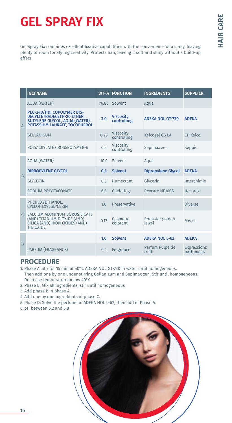# **GEL SPRAY FIX**

Gel Spray Fix combines excellent fixative capabilities with the convenience of a spray, leaving plenty of room for styling creativity. Protects hair, leaving it soft and shiny without a build-up effect.

|                | <b>INCI NAME</b>                                                                                                                   | $WT-%$ | <b>FUNCTION</b>                 | <b>INGREDIENTS</b>        | <b>SUPPLIER</b>                 |
|----------------|------------------------------------------------------------------------------------------------------------------------------------|--------|---------------------------------|---------------------------|---------------------------------|
|                | <b>AOUA (WATER)</b>                                                                                                                | 76.88  | Solvent                         | Aqua                      |                                 |
| $\overline{A}$ | PEG-240/HDI COPOLYMER BIS-<br>DECYLTETRADECETH-20 ETHER,<br><b>BUTYLENE GLYCOL, AQUA (WATER),</b><br>POTASSIUM LAURATE, TOCOPHEROL | 3.0    | <b>Viscosity</b><br>controlling | <b>ADEKA NOL GT-730</b>   | <b>ADEKA</b>                    |
|                | <b>GELLAN GUM</b>                                                                                                                  | 0.25   | Viscosity<br>controlling        | Kelcogel CG LA            | CP Kelco                        |
|                | POLYACRYLATE CROSSPOLYMER-6                                                                                                        | 0.5    | <b>Viscosity</b><br>controlling | Sepimax zen               | Seppic                          |
|                | <b>AOUA (WATER)</b>                                                                                                                | 10.0   | Solvent                         | Aqua                      |                                 |
| B              | <b>DIPROPYLENE GLYCOL</b>                                                                                                          | 0.5    | <b>Solvent</b>                  | <b>Dipropylene Glycol</b> | <b>ADEKA</b>                    |
|                | <b>GLYCERIN</b>                                                                                                                    | 0.5    | Humectant                       | Glycerin                  | Interchimie                     |
|                | SODIUM POLYITACONATE                                                                                                               | 6.0    | Chelating                       | <b>Revcare NE100S</b>     | <b>Itaconix</b>                 |
|                | PHENOXYETHANOL,<br><b>CYCLOHEXYLGLYCERIN</b>                                                                                       | 1.0    | Preservative                    |                           | <b>Diverse</b>                  |
| $\sqrt{ }$     | CALCIUM ALUMINUM BOROSILICATE<br>(AND) TITANIUM DIOXIDE (AND)<br>SILICA (AND) IRON OXIDES (AND)<br><b>TIN OXIDE</b>                | 0.17   | Cosmetic<br>colorant            | Ronastar golden<br>iewel  | Merck                           |
|                |                                                                                                                                    | 1.0    | <b>Solvent</b>                  | <b>ADEKA NOL L-62</b>     | <b>ADFKA</b>                    |
| $\overline{D}$ | PARFUM (FRAGRANCE)                                                                                                                 | 0.2    | Fragrance                       | Parfum Pulpe de<br>fruit  | <b>Expressions</b><br>parfumées |

- 1. Phase A: Stir for 15 min at 50°C ADEKA NOL GT-730 in water until homogeneous. Then add one by one under stirring Gellan gum and Sepimax zen. Stir until homogeneous. Decrease temperature below 40°C.
- 2. Phase B: Mix all ingredients, stir until homogeneous
- 3. Add phase B in phase A.
- 4. Add one by one ingredients of phase C.
- 5. Phase D: Solve the perfume in ADEKA NOL L-62, then add in Phase A.
- 6. pH between 5,2 and 5,8

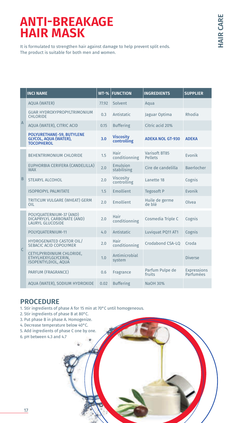## **ANTI-BREAKAGE HAIR MASK**

It is formulated to strengthen hair against damage to help prevent split ends. The product is suitable for both men and women.

|                | <b>INCI NAME</b>                                                                 | $WT-%$ | <b>FUNCTION</b>                 | <b>INGREDIENTS</b>        | <b>SUPPLIER</b>          |
|----------------|----------------------------------------------------------------------------------|--------|---------------------------------|---------------------------|--------------------------|
|                | <b>AOUA (WATER)</b>                                                              | 77.92  | Solvent                         | Aqua                      |                          |
|                | <b>GUAR HYDROXYPROPYLTRIMONIUM</b><br><b>CHLORIDE</b>                            | 0.3    | Antistatic                      | Jaguar Optima             | Rhodia                   |
| $\overline{A}$ | AQUA (WATER), CITRIC ACID                                                        | 0.15   | <b>Buffering</b>                | Citric acid 20%           |                          |
|                | POLYURETHANE-59, BUTYLENE<br><b>GLYCOL, AQUA (WATER),</b><br><b>TOCOPHEROL</b>   | 3.0    | <b>Viscosity</b><br>controlling | <b>ADEKA NOL GT-930</b>   | <b>ADEKA</b>             |
|                | <b>BEHENTRIMONIUM CHLORIDE</b>                                                   | 1.5    | Hair<br>conditionning           | Varisoft BT85<br>Pellets  | <b>Fyonik</b>            |
|                | EUPHORBIA CERIFERA (CANDELILLA)<br><b>WAX</b>                                    | 2.0    | Emulsion<br>stabilising         | Cire de candelilla        | <b>Baerlocher</b>        |
| B              | <b>STEARYL ALCOHOL</b>                                                           | 2.0    | <b>Viscosity</b><br>controlling | Lanette 18                | Cognis                   |
|                | <b>ISOPROPYL PALMITATE</b>                                                       | 1.5    | Emollient                       | Tegosoft P                | <b>Evonik</b>            |
|                | TRITICUM VULGARE (WHEAT) GERM<br>OIL                                             | 2.0    | <b>Emollient</b>                | Huile de germe<br>àld ah  | Olvea                    |
|                | POLYQUATERNIUM-37 (AND)<br>DICAPRYLYL CARBONATE (AND)<br><b>LAURYL GLUCOSIDE</b> | 2.0    | Hair<br>conditionning           | Cosmedia Triple C         | Cognis                   |
|                | POLYQUATERNIUM-11                                                                | 4.0    | Antistatic                      | Luviquat PQ11 AT1         | Cognis                   |
| C.             | <b>HYDROGENATED CASTOR OIL/</b><br>SEBACIC ACID COPOLYMER                        | 2.0    | Hair<br>conditionning           | Crodabond CSA-LO          | Croda                    |
|                | CETYLPYRIDINIUM CHLORIDE,<br>ETHYLHEXYLGLYCERIN,<br><b>ISOPENTYLDIOL, AQUA</b>   | 1.0    | Antimicrobial<br>system         |                           | Diverse                  |
|                | PARFUM (FRAGRANCE)                                                               | 0.6    | Fragrance                       | Parfum Pulpe de<br>fruits | Expressions<br>Parfumées |
|                | AOUA (WATER), SODIUM HYDROXIDE                                                   | 0.02   | <b>Buffering</b>                | NaOH 30%                  |                          |

### **PROCEDURE**

1. Stir ingredients of phase A for 15 min at 70°C until homogeneous.

- 2. Stir ingredients of phase B at 80°C.
- 3. Put phase B in phase A. Homogenize.
- 4. Decrease temperature below 40°C.
- 5. Add ingredients of phase C one by one.
- 6. pH between 4.3 and 4.7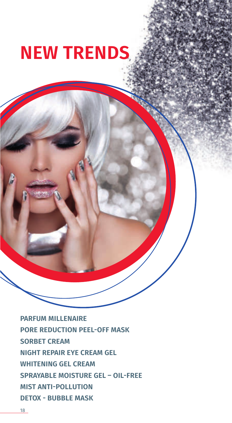# **NEW TRENDS**

**PARFUM MILLENAIRE PORE REDUCTION PEEL-OFF MASK SORBET CREAM NIGHT REPAIR EYE CREAM GEL WHITENING GEL CREAM SPRAYABLE MOISTURE GEL – OIL-FREE MIST ANTI-POLLUTION DETOX - BUBBLE MASK**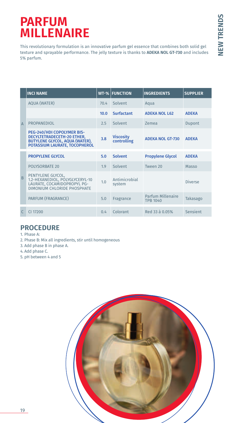## **PARFUM MILLENAIRE**

This revolutionary formulation is an innovative parfum gel essence that combines both solid gel texture and sprayable performance. The jelly texture is thanks to **ADEKA NOL GT-730** and includes 5% parfum.

|                | <b>INCI NAME</b>                                                                                                                   |      | <b>WT-% FUNCTION</b>            | <b>INGREDIENTS</b>                   | <b>SUPPLIER</b> |
|----------------|------------------------------------------------------------------------------------------------------------------------------------|------|---------------------------------|--------------------------------------|-----------------|
|                | <b>AQUA (WATER)</b>                                                                                                                | 70.4 | Solvent                         | Aqua                                 |                 |
|                |                                                                                                                                    | 10.0 | <b>Surfactant</b>               | <b>ADEKA NOL L62</b>                 | <b>ADEKA</b>    |
| $\overline{A}$ | PROPANEDIOL                                                                                                                        | 2.5  | Solvent                         | <b>Zemea</b>                         | Dupont          |
|                | PEG-240/HDI COPOLYMER BIS-<br>DECYLTETRADECETH-20 ETHER,<br><b>BUTYLENE GLYCOL, AQUA (WATER),</b><br>POTASSIUM LAURATE, TOCOPHEROL | 3.8  | <b>Viscosity</b><br>controlling | <b>ADEKA NOL GT-730</b>              | <b>ADEKA</b>    |
|                | <b>PROPYLENE GLYCOL</b>                                                                                                            | 5.0  | <b>Solvent</b>                  | <b>Propylene Glycol</b>              | <b>ADEKA</b>    |
|                | <b>POLYSORBATE 20</b>                                                                                                              | 1.9  | Solvent                         | Tween 20                             | Masso           |
| B              | PENTYLENE GLYCOL,<br>1.2-HEXANEDIOL, POLYGLYCERYL-10<br>LAURATE, COCAMIDOPROPYL PG-<br>DIMONIUM CHLORIDE PHOSPHATE                 | 1.0  | Antimicrobial<br>system         |                                      | Diverse         |
|                | PARFUM (FRAGRANCE)                                                                                                                 | 5.0  | Fragrance                       | Parfum Millenaire<br><b>TPB 1040</b> | Takasago        |
|                | CI 17200                                                                                                                           | 0.4  | Colorant                        | Red 33 à 0.05%                       | Sensient        |

- 1. Phase A:
- 2. Phase B: Mix all ingredients, stir until homogeneous
- 3. Add phase B in phase A.
- 4. Add phase C.
- 5. pH between 4 and 5

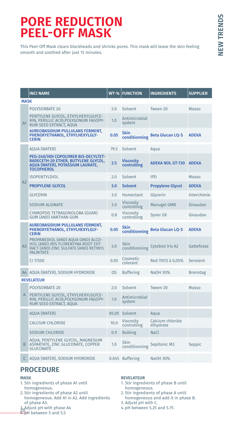## **PORE REDUCTION PEEL-OFF MASK**

This Peel-Off Mask clears blackheads and shrinks pores. This mask will leave the skin feeling smooth and soothed after just 15 minutes.

|                | <b>INCI NAME</b>                                                                                                                              | $WT-%$ | <b>FUNCTION</b>                 | <b>INGREDIENTS</b>             | <b>SUPPLIER</b> |
|----------------|-----------------------------------------------------------------------------------------------------------------------------------------------|--------|---------------------------------|--------------------------------|-----------------|
| <b>MASK</b>    |                                                                                                                                               |        |                                 |                                |                 |
|                | <b>POLYSORBATE 20</b>                                                                                                                         | 2.0    | Solvent                         | Tween 20                       | Masso           |
| A1             | PENTYLENE GLYCOL. ETHYLHEXYLGLYCE-<br>RIN, PERILLIC ACID, POLYGONUM FAGOPY-<br>RUM SEED EXTRACT, AQUA                                         | 1.0    | Antimicrobial<br>system         |                                |                 |
|                | <b>AUREOBASIDIUM PULLULANS FERMENT,</b><br>PHENOXYETHANOL, ETHYLHEXYLGLY-<br><b>CERIN</b>                                                     | 0.05   | <b>Skin</b>                     | conditionning Beta Glucan LQ-S | <b>ADEKA</b>    |
|                | <b>AOUA (WATER)</b>                                                                                                                           | 79.5   | Solvent                         | Aqua                           |                 |
|                | PEG-240/HDI COPOLYMER BIS-DECYLTET-<br>RADECETH-20 ETHER, BUTYLENE GLYCOL,<br>AQUA (WATER), POTASSIUM LAURATE,<br><b>TOCOPHEROL</b>           | 2.5    | <b>Viscosity</b><br>controlling | <b>ADEKA NOL GT-730</b>        | <b>ADEKA</b>    |
|                | <b>ISOPENTYLDIOL</b>                                                                                                                          | 2.0    | Solvent                         | <b>IPD</b>                     | Masso           |
| A2             | <b>PROPYLENE GLYCOL</b>                                                                                                                       | 3.0    | <b>Solvent</b>                  | <b>Propylene Glycol</b>        | <b>ADEKA</b>    |
|                | <b>GLYCERIN</b>                                                                                                                               | 3.0    | Humectant                       | Glycerin                       | Interchimie     |
|                | <b>SODIUM ALGINATE</b>                                                                                                                        | 3.0    | <b>Viscosity</b><br>controlling | <b>Manugel GMB</b>             | Givaudan        |
|                | CYAMOPSIS TETRAGONOLOBA (GUAR)<br><b>GUM (AND) XANTHAN GUM</b>                                                                                | 0.8    | <b>Viscosity</b><br>controlling | Syner GX                       | Givaudan        |
|                | <b>AUREOBASIDIUM PULLULANS FERMENT,</b><br>PHENOXYETHANOL, ETHYLHEXYLGLY-<br><b>CERIN</b>                                                     | 0.05   | <b>Skin</b><br>conditionning    | <b>Beta Glucan LQ-S</b>        | <b>ADEKA</b>    |
| A <sub>3</sub> | PROPANEDIOL (AND) AQUA (AND) ALCO-<br><b>HOL (AND) IRIS FLORENTINA ROOT EXT-</b><br>RACT (AND) ZINC SULFATE (AND) RETINYL<br><b>PALMITATE</b> | 3.0    | <b>Skin</b><br>conditionning    | Cytobiol Iris A2               | Gattefosse      |
|                | CI 17200                                                                                                                                      | 0.05   | Cosmetic<br>colorant            | Red 7057J à 0,05%              | Sensient        |
| A4             | AQUA (WATER), SODIUM HYDROXIDE                                                                                                                | 0S     | <b>Buffering</b>                | NaOH 30%                       | <b>Brenntag</b> |
|                | <b>REVELATEUR</b>                                                                                                                             |        |                                 |                                |                 |
|                | <b>POLYSORBATE 20</b>                                                                                                                         | 2.0    | Solvent                         | Tween 20                       | Masso           |
| A              | PENTYLENE GLYCOL, ETHYLHEXYLGLYCE-<br>RIN, PERILLIC ACID, POLYGONUM FAGOPY-<br>RUM SEED EXTRACT, AQUA                                         | 1.0    | Antimicrobial<br>system         |                                |                 |
|                | <b>AQUA (WATER)</b>                                                                                                                           | 85.05  | Solvent                         | Aqua                           |                 |
|                | <b>CALCIUM CHLORIDE</b>                                                                                                                       | 10.0   | <b>Viscosity</b><br>controlling | Calcium chloride<br>dihydrate  |                 |
|                | <b>SODIUM CHLORIDE</b>                                                                                                                        | 0.9    | <b>Bulking</b>                  | <b>NaCl</b>                    |                 |
| B              | AQUA, PENTYLENE GLYCOL, MAGNESIUM<br>ASPARTATE, ZINC GLUCONATE, COPPER<br><b>GLUCONATE</b>                                                    | 1.0    | Skin<br>conditionning           | Sepitonic M3                   | Seppic          |
| C              | AQUA (WATER), SODIUM HYDROXIDE                                                                                                                |        | 0.045 Buffering                 | <b>NaOH 30%</b>                |                 |

## **PROCEDURE**

#### **MASK**

- 1. Stir ingredients of phase A1 until homogeneous.
- 2. Stir ingredients of phase A2 until homogeneous. Add A1 in A2. Add ingredients<br>of phase A3. of phase A3.<br>3 Adjust pH with phase A4<br>2 DH hetween 5 and 5.5
- $\frac{0}{1}$ H between 5 and 5.5

#### **REVELATEUR**

- 1. Stir ingredients of phase B until homogeneous.
- 2. Stir ingredients of phase A until homogeneous and add it in phase B.
- 3. Adjust pH with C.
- 4. pH between 5.25 and 5.75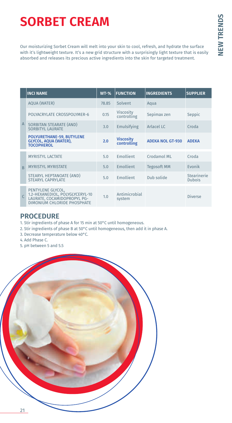# **SORBET CREAM**

Our moisturizing Sorbet Cream will melt into your skin to cool, refresh, and hydrate the surface with it's lightweight texture. It's a new grid structure with a surprisingly light texture that is easily absorbed and releases its precious active ingredients into the skin for targeted treatment.

|                | <b>INCI NAME</b>                                                                                                   | $WT-%$ | <b>FUNCTION</b>                 | <b>INGREDIENTS</b>      | <b>SUPPLIER</b>              |
|----------------|--------------------------------------------------------------------------------------------------------------------|--------|---------------------------------|-------------------------|------------------------------|
|                | <b>AQUA (WATER)</b>                                                                                                | 78.85  | Solvent                         | Aqua                    |                              |
|                | POLYACRYLATE CROSSPOLYMER-6                                                                                        | 0.15   | <b>Viscosity</b><br>controlling | Sepimax zen             | Seppic                       |
| $\overline{A}$ | SORBITAN STEARATE (AND)<br><b>SORBITYL LAURATE</b>                                                                 | 3.0    | Emulsifying                     | Arlacel LC              | Croda                        |
|                | POLYURETHANE-59, BUTYLENE<br>GLYCOL, AQUA (WATER),<br><b>TOCOPHEROL</b>                                            | 2.0    | <b>Viscosity</b><br>controlling | <b>ADEKA NOL GT-930</b> | <b>ADEKA</b>                 |
|                | <b>MYRISTYL LACTATE</b>                                                                                            | 5.0    | <b>Emollient</b>                | Crodamol ML             | Croda                        |
| $\overline{B}$ | <b>MYRISTYL MYRISTATE</b>                                                                                          | 5.0    | Emollient                       | <b>Tegosoft MM</b>      | Evonik                       |
|                | STEARYL HEPTANOATE (AND)<br><b>STEARYL CAPRYLATE</b>                                                               | 5.0    | Emollient                       | Dub solide              | Stearinerie<br><b>Dubois</b> |
| $\overline{C}$ | PENTYLENE GLYCOL,<br>1.2-HEXANEDIOL, POLYGLYCERYL-10<br>LAURATE, COCAMIDOPROPYL PG-<br>DIMONIUM CHLORIDE PHOSPHATE | 1.0    | Antimicrobial<br>system         |                         | <b>Diverse</b>               |

- 1. Stir ingredients of phase A for 15 min at 50°C until homogeneous.
- 2. Stir ingredients of phase B at 50°C until homogeneous, then add it in phase A.
- 3. Decrease temperature below 40°C.
- 4. Add Phase C.
- 5. pH between 5 and 5.5

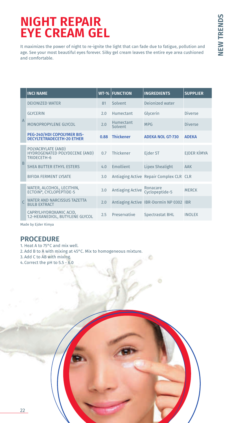# **NIGHT REPAIR EYE CREAM GEL**

It maximizes the power of night to re-ignite the light that can fade due to fatigue, pollution and age. See your most beautiful eyes forever. Silky gel cream leaves the entire eye area cushioned and comfortable.

|                | <b>INCI NAME</b>                                                   | $WT-%$ | <b>FUNCTION</b>         | <b>INGREDIENTS</b>                      | <b>SUPPLIER</b> |
|----------------|--------------------------------------------------------------------|--------|-------------------------|-----------------------------------------|-----------------|
|                | <b>DEIONIZED WATER</b>                                             | 81     | Solvent                 | Dejonized water                         |                 |
|                | <b>GLYCERIN</b>                                                    | 2.0    | Humectant               | Glycerin                                | Diverse         |
| $\overline{A}$ | MONOPROPYLENE GLYCOL                                               | 2.0    | Humectant<br>Solvent    | <b>MPG</b>                              | Diverse         |
|                | PEG-240/HDI COPOLYMER BIS-<br><b>DECYLTETRADECETH-20 ETHER</b>     | 0.88   | Thickener               | <b>ADEKA NOL GT-730</b>                 | <b>ADEKA</b>    |
|                | POLYACRYLATE (AND)<br>HYDROGENATED POLYDECENE (AND)<br>TRIDECETH-6 | 0.7    | Thickener               | Ejder ST                                | EIDER KİMYA     |
| B              | SHEA BUTTER ETHYL ESTERS                                           | 4.0    | Emollient               | <b>Lipex Shealight</b>                  | AAK             |
|                | <b>BIFIDA FERMENT LYSATE</b>                                       | 3.0    |                         | Antiaging Active Repair Complex CLR CLR |                 |
|                | WATER, ALCOHOL, LECITHIN,<br>ECTOIN*, CYCLOPEPTIDE-5               | 3.0    | <b>Antiaging Active</b> | Ronacare<br>Cyclopeptide-5              | <b>MERCK</b>    |
|                | WATER AND NARCISSUS TAZETTA<br><b>BULB EXTRACT</b>                 | 2.0    |                         | Antiaging Active IBR-Dormin NP 0302 IBR |                 |
|                | CAPRYLHYDROXAMIC ACID.<br>1.2-HEXANEDIOL, BUTYLENE GLYCOL          | 2.5    | Preservative            | <b>Spectrastat BHL</b>                  | <b>INOLEX</b>   |

Made by Ejder Kimya

- 1. Heat A to 75°C and mix well.
- 2. Add B to A with mixing at 45°C. Mix to homogeneous mixture.
- 3. Add C to AB with mixing.
- 4. Correct the pH to 5.5 6.0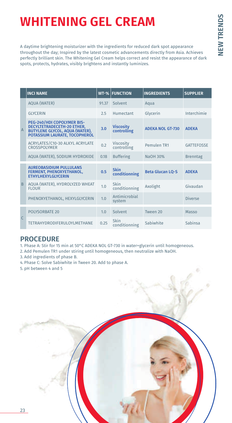# **NEW TRENDS NEW TRENDS**

# **WHITENING GEL CREAM**

A daytime brightening moisturizer with the ingredients for reduced dark spot appearance throughout the day; Inspired by the latest cosmetic advancements directly from Asia. Achieves perfectly brilliant skin. The Whitening Gel Cream helps correct and resist the appearance of dark spots, protects, hydrates, visibly brightens and instantly luminizes.

|                | <b>INCI NAME</b>                                                                                                                   |       | <b>WT-% FUNCTION</b>            | <b>INGREDIENTS</b>      | <b>SUPPLIER</b>   |
|----------------|------------------------------------------------------------------------------------------------------------------------------------|-------|---------------------------------|-------------------------|-------------------|
|                | <b>AQUA (WATER)</b>                                                                                                                | 91.37 | Solvent                         | Aqua                    |                   |
|                | <b>GLYCERIN</b>                                                                                                                    | 2.5   | Humertant                       | Glycerin                | Interchimie       |
| $\overline{A}$ | PEG-240/HDI COPOLYMER BIS-<br>DECYLTETRADECETH-20 ETHER,<br><b>BUTYLENE GLYCOL, AQUA (WATER),</b><br>POTASSIUM LAURATE, TOCOPHEROL | 3.0   | <b>Viscosity</b><br>controlling | <b>ADEKA NOL GT-730</b> | <b>ADEKA</b>      |
|                | ACRYLATES/C10-30 ALKYL ACRYLATE<br><b>CROSSPOLYMER</b>                                                                             | 0.2   | <b>Viscosity</b><br>controlling | Pemulen TR1             | <b>GATTEFOSSE</b> |
|                | AQUA (WATER), SODIUM HYDROXIDE                                                                                                     | 0.18  | <b>Buffering</b>                | NaOH 30%                | <b>Brenntag</b>   |
|                | <b>AUREOBASIDIUM PULLULANS</b><br>FERMENT, PHENOXYETHANOL,<br><b>ETHYLHEXYLGLYCERIN</b>                                            | 0.5   | <b>Skin</b><br>conditionning    | <b>Beta Glucan LQ-S</b> | <b>ADEKA</b>      |
| B              | AQUA (WATER), HYDROLYZED WHEAT<br><b>FLOUR</b>                                                                                     | 1.0   | Skin<br>conditionning           | Axolight                | Givaudan          |
|                | PHENOXYETHANOL, HEXYLGLYCERIN                                                                                                      | 1.0   | Antimicrobial<br>system         |                         | Diverse           |
|                | POLYSORBATE 20                                                                                                                     | 1.0   | Solvent                         | Tween 20                | Masso             |
| $\mathsf{C}$   | <b>TETRAHYDRODIFERULOYLMETHANE</b>                                                                                                 | 0.25  | Skin<br>conditionning           | Sabiwhite               | Sabinsa           |

- 1. Phase A: Stir for 15 min at 50°C ADEKA NOL GT-730 in water+glycerin until homogeneous.
- 2. Add Pemulen TR1 under stiring until homogeneous, then neutralize with NaOH.
- 3. Add ingredients of phase B.
- 4. Phase C: Solve Sabiwhite in Tween 20. Add to phase A.
- 5. pH between 4 and 5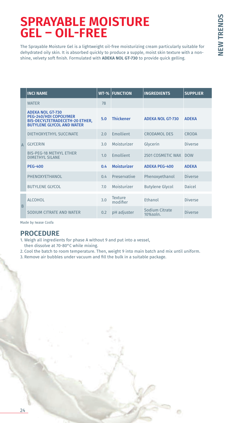# **SPRAYABLE MOISTURE GEL – OIL-FREE**

The Sprayable Moisture Gel is a lightweight oil-free moisturizing cream particularly suitable for dehydrated oily skin. It is absorbed quickly to produce a supple, moist skin texture with a nonshine, velvety soft finish. Formulated with **ADEKA NOL GT-730** to provide quick gelling.

|          | <b>INCI NAME</b>                                                                                                              |     | <b>WT-% FUNCTION</b> | <b>INGREDIENTS</b>             | <b>SUPPLIER</b> |  |
|----------|-------------------------------------------------------------------------------------------------------------------------------|-----|----------------------|--------------------------------|-----------------|--|
|          | <b>WATER</b>                                                                                                                  | 78  |                      |                                |                 |  |
|          | <b>ADEKA NOL GT-730</b><br>PEG-240/HDI COPOLYMER<br><b>BIS-DECYLTETRADECETH-20 ETHER,</b><br><b>BUTYLENE GLYCOL AND WATER</b> | 5.0 | <b>Thickener</b>     | <b>ADEKA NOL GT-730</b>        | <b>ADEKA</b>    |  |
|          | DIETHOXYETHYL SUCCINATE                                                                                                       | 2.0 | Emollient            | <b>CRODAMOL DES</b>            | CRODA           |  |
| $\Delta$ | <b>GLYCERIN</b>                                                                                                               | 3.0 | Moisturizer          | Glycerin                       | Diverse         |  |
|          | <b>BIS-PEG-18 METHYL ETHER</b><br><b>DIMETHYL SILANE</b>                                                                      | 1.0 | Emollient            | 2501 COSMETIC WAX              | <b>DOW</b>      |  |
|          | <b>PEG-400</b>                                                                                                                | 0.4 | <b>Moisturizer</b>   | <b>ADEKA PEG-400</b>           | <b>ADEKA</b>    |  |
|          | PHENOXYETHANOL                                                                                                                | 04  | Preservative         | Phenoxyethanol                 | Diverse         |  |
|          | <b>BUTYLENE GLYCOL</b>                                                                                                        | 7.0 | Moisturizer          | <b>Butylene Glycol</b>         | Daicel          |  |
| B        | <b>ALCOHOL</b>                                                                                                                | 3.0 | Texture<br>modifier  | Ethanol                        | Diverse         |  |
|          | SODIUM CITRATE AND WATER                                                                                                      | 0.2 | pH adjuster          | Sodium Citrate<br>$10\%$ soln. | <b>Diverse</b>  |  |

Made by Iwase Cosfa

- 1. Weigh all ingredients for phase A without 9 and put into a vessel,
- then dissolve at 70-80°C while mixing.
- 2. Cool the batch to room temperature. Then, weight 9 into main batch and mix until uniform.
- 3. Remove air bubbles under vacuum and fill the bulk in a suitable package.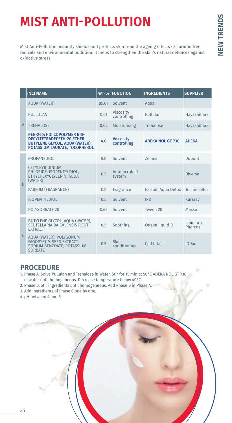# **MIST ANTI-POLLUTION**

Mist Anti-Pollution instantly shields and protects skin from the ageing effects of harmful free radicals and environmental pollution. It helps to strengthen the skin's natural defences against oxidative stress.

|                | <b>INCI NAME</b>                                                                                                                   | $WT-%$ | <b>FUNCTION</b>                 | <b>INGREDIENTS</b>      | <b>SUPPLIER</b>     |
|----------------|------------------------------------------------------------------------------------------------------------------------------------|--------|---------------------------------|-------------------------|---------------------|
|                | <b>AQUA (WATER)</b>                                                                                                                | 85.09  | Solvent                         | Aqua                    |                     |
|                | PULLULAN                                                                                                                           | 0.01   | <b>Viscosity</b><br>controlling | Pullulan                | Hayashibara         |
| $\overline{A}$ | <b>TREHALOSE</b>                                                                                                                   | 0.05   | Moisturising                    | Trehalose               | Hayashibara         |
|                | PEG-240/HDI COPOLYMER BIS-<br>DECYLTETRADECETH-20 ETHER,<br><b>BUTYLENE GLYCOL, AQUA (WATER),</b><br>POTASSIUM LAURATE, TOCOPHEROL | 4.0    | <b>Viscosity</b><br>controlling | <b>ADEKA NOL GT-730</b> | <b>ADEKA</b>        |
|                | PROPANEDIOL                                                                                                                        | 80     | Solvent                         | Zemea                   | Dupont              |
| B              | CETYLPYRIDINIUM<br>CHLORIDE, ISOPENTYLDIOL,<br>ETHYLHEXYGLYCERIN, AQUA<br>(WATER)                                                  | 0.5    | Antimicrobial<br>system         |                         | Diverse             |
|                | PARFUM (FRAGRANCE)                                                                                                                 | 0.2    | Fragrance                       | Parfum Aqua Detox       | Technicoflor        |
|                | <b>ISOPENTYLDIOL</b>                                                                                                               | 0.5    | Solvent                         | <b>IPD</b>              | Kuraray             |
|                | <b>POLYSORBATE 20</b>                                                                                                              | 0.65   | Solvent                         | Tween 20                | Masso               |
|                | BUTYLENE GLYCOL, AQUA (WATER),<br>SCUTELLARIA BAICALENSIS ROOT<br><b>EXTRACT</b>                                                   | 0.5    | Soothing                        | Ougon liquid B          | Ichimaru<br>Pharcos |
| $\mathsf{C}$   | AQUA (WATER), POLYGONUM<br>FAGOPYRUM SEED EXTRACT,<br>SODIUM BENZOATE, POTASSIUM<br><b>SORBATE</b>                                 | 0.5    | Skin<br>conditioning            | Cell Intact             | <b>ID Bio</b>       |

- 1. Phase A: Solve Pullulan and Trehalose in Water. Stir for 15 min at 50°C ADEKA NOL GT-730 in water until homogeneous. Decrease temperature below 40°C.
- 2. Phase B: Stir ingredients until homogeneous. Add Phase B in Phase A.
- 3. Add ingredients of Phase C one by one.
- 4. pH between 4 and 5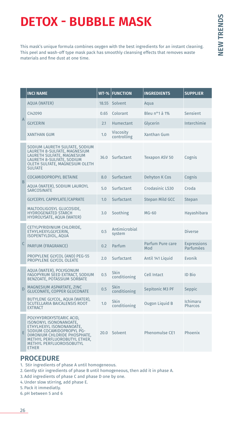# **NEW TRENDS NEW TRENDS**

# **DETOX - BUBBLE MASK**

This mask's unique formula combines oxygen with the best ingredients for an instant cleaning. This peel and wash-off type mask pack has smoothly cleansing effects that removes waste materials and fine dust at one time.

|                | <b>INCI NAME</b>                                                                                                                                                                                                        | $WT-%$ | <b>FUNCTION</b>                 | <b>INGREDIENTS</b>      | <b>SUPPLIER</b>                 |
|----------------|-------------------------------------------------------------------------------------------------------------------------------------------------------------------------------------------------------------------------|--------|---------------------------------|-------------------------|---------------------------------|
|                | <b>AOUA (WATER)</b>                                                                                                                                                                                                     | 18.55  | Solvent                         | Aqua                    |                                 |
|                | C142090                                                                                                                                                                                                                 | 0.65   | Colorant                        | Bleu nº1 à 1%           | Sensient                        |
| $\overline{A}$ | <b>GLYCERIN</b>                                                                                                                                                                                                         | 2.1    | <b>Humectant</b>                | Glycerin                | Interchimie                     |
|                | <b>XANTHAN GUM</b>                                                                                                                                                                                                      | 1.0    | <b>Viscosity</b><br>controlling | <b>Xanthan Gum</b>      |                                 |
|                | SODIUM LAURETH SULFATE, SODIUM<br>LAURETH 8-SULFATE, MAGNESIUM<br>LAURETH SULFATE, MAGNESIUM<br>LAURETH 8-SULFATE, SODIUM<br>OLETH SULFATE, MAGNESIUM OLETH<br><b>SULFATE</b>                                           | 36.0   | Surfactant                      | <b>Texapon ASV 50</b>   | Cognis                          |
| B              | <b>COCAMIDOPROPYL BETAINE</b>                                                                                                                                                                                           | 8.0    | Surfactant                      | <b>Dehyton K Cos</b>    | Cognis                          |
|                | AOUA (WATER), SODIUM LAUROYL<br><b>SARCOSINATE</b>                                                                                                                                                                      | 5.0    | Surfactant                      | Crodasinic LS30         | Croda                           |
|                | <b>GLYCERYL CAPRYLATE/CAPRATE</b>                                                                                                                                                                                       | 1.0    | Surfactant                      | <b>Stepan Mild GCC</b>  | <b>Stepan</b>                   |
|                | MALTOOLIGOSYL GLUCOSIDE,<br><b>HYDROGENATED STARCH</b><br>HYDROLYSATE, AQUA (WATER)                                                                                                                                     | 3.0    | Soothing                        | MG-60                   | Hayashibara                     |
|                | CETYLPYRIDINIUM CHLORIDE,<br>ETHYLHEXYLGLYCERIN,<br><b>ISOPENTYLDIOL, AQUA</b>                                                                                                                                          | 0.5    | Antimicrobial<br>system         |                         | <b>Diverse</b>                  |
| C              | PARFUM (FRAGRANCE)                                                                                                                                                                                                      | 0.2    | Parfum                          | Parfum Pure care<br>Mod | <b>Expressions</b><br>Parfumées |
|                | PROPYLENE GLYCOL (AND) PEG-55<br>PROPYLENE GLYCOL OLEATE                                                                                                                                                                | 2.0    | Surfactant                      | Antil 141 Liquid        | Evonik                          |
|                | AQUA (WATER), POLYGONUM<br>FAGOPYRUM SEED EXTRACT, SODIUM<br>BENZOATE, POTASSIUM SORBATE                                                                                                                                | 0.5    | <b>Skin</b><br>conditioning     | <b>Cell Intact</b>      | ID Bio                          |
| D              | MAGNESIUM ASPARTATE, ZINC<br><b>GLUCONATE, COPPER GLUCONATE</b>                                                                                                                                                         | 0.5    | Skin<br>conditioning            | Sepitonic M3 PF         | Seppic                          |
|                | BUTYLENE GLYCOL, AQUA (WATER),<br>SCUTELLARIA BAICALENSIS ROOT<br><b>EXTRACT</b>                                                                                                                                        | 1.0    | <b>Skin</b><br>conditioning     | Ougon Liquid B          | Ichimaru<br><b>Pharcos</b>      |
| E              | POLYHYDROXYSTEARIC ACID,<br>ISONONYL ISONONANOATE,<br>ETHYLHEXYL ISONONANOATE,<br>SODIUM COCAMIDOPROPYL PG-<br>DIMONIUM CHLORIDE PHOSPHATE,<br>METHYL PERFLUOROBUTYL ETHER,<br>METHYL PERFLUOROISOBUTYL<br><b>ETHER</b> | 20.0   | Solvent                         | Phenomulse CE1          | Phoenix                         |

- 1. Stir ingredients of phase A until homogeneous.
- 2. Gently stir ingredients of phase B until homogeneous, then add it in phase A.
- 3. Add ingredients of phase C and phase D one by one.
- 4. Under slow stirring, add phase E.
- 5. Pack it immediatly.
- 6. pH between 5 and 6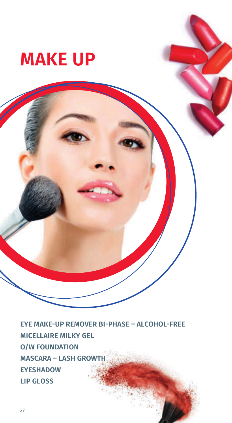# **MAKE UP**

**EYE MAKE-UP REMOVER BI-PHASE – ALCOHOL-FREE MICELLAIRE MILKY GEL O/W FOUNDATION MASCARA – LASH GROWTH EYESHADOW LIP GLOSS**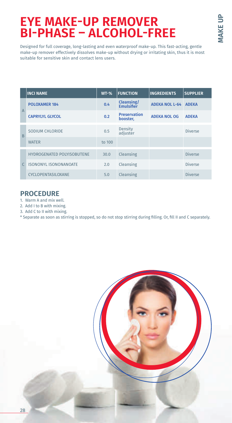# **EYE MAKE-UP REMOVER BI-PHASE – ALCOHOL-FREE**

Designed for full coverage, long-lasting and even waterproof make-up. This fast-acting, gentle make-up remover effectively dissolves make-up without drying or irritating skin, thus it is most suitable for sensitive skin and contact lens users.

|                | <b>INCI NAME</b>                  | $WT-%$ | <b>FUNCTION</b>                        | <b>INGREDIENTS</b>    | <b>SUPPLIER</b> |
|----------------|-----------------------------------|--------|----------------------------------------|-----------------------|-----------------|
|                | <b>POLOXAMER 184</b>              | 0.4    | <b>Cleansing/</b><br><b>Emulsifier</b> | <b>ADEKA NOL L-64</b> | <b>ADEKA</b>    |
| $\overline{A}$ | <b>CAPRYLYL GLYCOL</b>            | 0.2    | <b>Preservation</b><br>booster,        | <b>ADEKA NOL OG</b>   | <b>ADEKA</b>    |
| B              | SODIUM CHLORIDE                   | 0.5    | Density<br>adjuster                    |                       | <b>Diverse</b>  |
|                | <b>WATER</b>                      | to 100 |                                        |                       |                 |
|                | <b>HYDROGENATED POLYISOBUTENE</b> | 30.0   | Cleansing                              |                       | <b>Diverse</b>  |
|                | <b>ISONONYL ISONONANOATE</b>      | 2.0    | Cleansing                              |                       | <b>Diverse</b>  |
|                | CYCLOPENTASILOXANE                | 5.0    | Cleansing                              |                       | <b>Diverse</b>  |

- 1. Warm A and mix well.
- 2. Add I to B with mixing.
- 3. Add C to II with mixing.
- \* Separate as soon as stirring is stopped, so do not stop stirring during filling. Or, fill II and C separately.

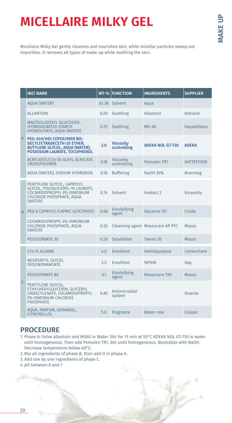# **MICELLAIRE MILKY GEL**

Micellaire Milky Gel gently cleanses and nourishes skin, while micellar particles sweep out impurities. It removes all types of make-up while soothing the skin.

|              | <b>INCI NAME</b>                                                                                                                     | $WT-%$ | <b>FUNCTION</b>                 | <b>INGREDIENTS</b>               | <b>SUPPLIER</b>   |
|--------------|--------------------------------------------------------------------------------------------------------------------------------------|--------|---------------------------------|----------------------------------|-------------------|
|              | <b>AQUA (WATER)</b>                                                                                                                  |        | 81.38 Solvent                   | Aqua                             |                   |
|              | <b>ALLANTOIN</b>                                                                                                                     | 0.05   | Soothing                        | Allantoin                        | Ashland           |
|              | MALTOOLIGOSYL GLUCOSIDE.<br><b>HYDROGENATED STARCH</b><br>HYDROLYSATE, AQUA (WATER)                                                  | 0.25   | Soothing                        | $MG-60$                          | Hayashibara       |
|              | A PEG-240/HDI COPOLYMER BIS-<br>DECYLTETRADECETH-20 ETHER,<br><b>BUTYLENE GLYCOL, AQUA (WATER),</b><br>POTASSIUM LAURATE, TOCOPHEROL | 2.0    | <b>Viscosity</b><br>controlling | <b>ADEKA NOL GT-730</b>          | <b>ADFKA</b>      |
|              | ACRYLATES/C10-30 ALKYL ACRYLATE<br><b>CROSSPOLYMER</b>                                                                               | 0.18   | Viscosity<br>controlling        | Pemulen TR1                      | <b>GATTEFOSSE</b> |
|              | AQUA (WATER), SODIUM HYDROXIDE                                                                                                       | 0.18   | <b>Buffering</b>                | NaOH 30%                         | <b>Brenntag</b>   |
|              | PENTYLENE GLYCOL, CAPRYLYL<br>GLYCOL, POLYGLYCERYL-10 LAURATE,<br>COCAMIDOPROPYL PG-DIMONIUM<br>CHLORIDE PHOSPHATE, AQUA<br>(WATER)  | 0.74   | Solvent                         | Inebact 2                        | Kuryosity         |
| B            | PEG 6 CAPRYLIC/CAPRIC GLYCERIDES                                                                                                     | 0.66   | Emulsifying<br>agent            | Glycerox 767                     | Croda             |
|              | COCAMIDOPROPYL PG-DIMONIUM<br>CHLORIDE PHOSPHATE, AQUA<br>(WATER)                                                                    | 0.32   |                                 | Cleansing agent Massocare AP PTC | Masso             |
|              | <b>POLYSORBATE 20</b>                                                                                                                | 0.26   | Solubiliser                     | Tween 20                         | Masso             |
|              | C <sub>13</sub> -15 ALKANE                                                                                                           | 4.0    | Emollient                       | Hemisqualane                     | Centerchem        |
|              | <b>NEOPENTYL GLYCOL</b><br><b>DIISONONANOATE</b>                                                                                     | 3.5    | Emollient                       | <b>NPDIN</b>                     | Hav               |
|              | <b>POLYSORBATE 80</b>                                                                                                                | 0.1    | Emulsifying<br>agent            | Massocare T80                    | Masso             |
| $\mathsf{C}$ | PENTYLENE GLYCOL,<br>ETHYLHEXYLGLYCERIN, GLYCERYL<br>UNDECYLENATE, COCAMIDOPROPYL<br><b>PG-DIMONIUM CHLORIDE</b><br><b>PHOSPHATE</b> | 0.85   | Antimicrobial<br>system         |                                  | <b>Diverse</b>    |
|              | AQUA, PARFUM, GERANIOL,<br><b>CITRONELLOL</b>                                                                                        | 5.0    | Fragrance                       | Water rose                       | Cooper            |

- 1. Phase A: Solve allantoin and MG60 in Water. Stir for 15 min at 50°C ADEKA NOL GT-730 in water until homogeneous. Then add Pemulen TR1. Stir until homogeneous. Neutralize with NaOH. Decrease temperature below 40°C.
- 2. Mix all ingredients of phase B, then add it in phase A.
- 3. Add one by one ingredients of phase C.
- 4. pH between 6 and 7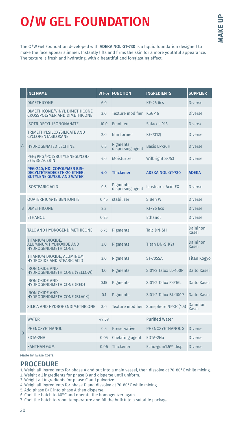# **MAKE UP MAKE UP**

# **O/W GEL FOUNDATION**

The O/W Gel Foundation developed with **ADEKA NOL GT-730** is a liquid foundation designed to make the face appear slimmer. Instantly lifts and firms the skin for a more youthful appearance. The texture is fresh and hydrating, with a beautiful and longlasting effect.

|                | <b>INCI NAME</b>                                                                                           | $\overline{\text{WT-}\%}$ | <b>FUNCTION</b>              | <b>INGREDIENTS</b>                    | <b>SUPPLIER</b>          |
|----------------|------------------------------------------------------------------------------------------------------------|---------------------------|------------------------------|---------------------------------------|--------------------------|
|                | <b>DIMETHICONE</b>                                                                                         | 6.0                       |                              | <b>KF-96 6cs</b>                      | <b>Diverse</b>           |
|                | DIMETHICONE/VINYL DIMETHICONE<br>CROSSPOLYMER AND DIMETHICONE                                              | 3.0                       | Texture modifier KSG-16      |                                       | <b>Diverse</b>           |
|                | <b>ISOTRIDECYL ISONONANATE</b>                                                                             | 10.0                      | Emollient                    | Salacos 913                           | <b>Diverse</b>           |
|                | TRIMETHYLSILOXYSILICATE AND<br>CYCLOPENTASILOXANE                                                          | 2.0                       | film former                  | <b>KF-73121</b>                       | <b>Diverse</b>           |
| $\overline{A}$ | <b>HYDROGENATED LECITINE</b>                                                                               | 0.5                       | Pigments<br>dispersing agent | <b>Basis LP-20H</b>                   | <b>Diverse</b>           |
|                | PEG/PPG/POLYBUTYLENEGLYCOL-<br>8/5/3GLYCERIN                                                               | 4.0                       | Moisturizer                  | Wilbright S-753                       | Diverse                  |
|                | <b>PEG-240/HDI COPOLYMER BIS-</b><br><b>DECYLTETRADECETH-20 ETHER,</b><br><b>BUTYLENE GLYCOL AND WATER</b> | 4.0                       | <b>Thickener</b>             | <b>ADEKA NOL GT-730</b>               | <b>ADEKA</b>             |
|                | <b>ISOSTEARIC ACID</b>                                                                                     | 0.3                       | Pigments<br>dispersing agent | <b>Isostearic Acid EX</b>             | <b>Diverse</b>           |
|                | <b>OUATERNIUM-18 BENTONITE</b>                                                                             | 0.45                      | stabilizer                   | S Ben W                               | <b>Diverse</b>           |
| B              | <b>DIMETHICONE</b>                                                                                         | 2.3                       |                              | <b>KF-96 6cs</b>                      | <b>Diverse</b>           |
|                | <b>ETHANOL</b>                                                                                             | 0.25                      |                              | Ethanol                               | <b>Diverse</b>           |
|                | TALC AND HYDROGENDIMETHICONE                                                                               | 6.75                      | Pigments                     | <b>Talc DN-SH</b>                     | <b>Dainihon</b><br>Kasei |
|                | TITANIUM DIOXIDE,<br>ALUMINUM HYDROXIDE AND<br><b>HYDROGENDIMETHICONE</b>                                  | 3.0                       | Pigments                     | Titan DN-SH(2)                        | Dainihon<br>Kasei        |
|                | TITANIUM DIOXIDE, ALUMINUM<br><b>HYDROXIDE AND STEARIC ACID</b>                                            | 3.0                       | Pigments                     | <b>ST-705SA</b>                       | <b>Titan Kogyo</b>       |
| $\mathsf{C}$   | <b>IRON OXIDE AND</b><br><b>HYDROGENDIMETHICONE (YELLOW)</b>                                               | 1.0                       | Pigments                     | <b>SI01-2 Talox LL-100P</b>           | Daito Kasei              |
|                | <b>IRON OXIDE AND</b><br><b>HYDROGENDIMETHICONE (RED)</b>                                                  | 0.15                      | Pigments                     | S101-2 Talox R-516L                   | Daito Kasei              |
|                | <b>IRON OXIDE AND</b><br>HYDROGENDIMETHICONE (BLACK)                                                       | 0.1                       | Pigments                     | <b>SI01-2 Talox BL-100P</b>           | Daito Kasei              |
|                | SILICA AND HYDROGENDIMETHICONE                                                                             | 3.0                       |                              | Texture modifier Sunsphere NP-30(1.5) | Dainihon<br>Kasei        |
|                | <b>WATER</b>                                                                                               | 49.59                     |                              | <b>Purified Water</b>                 |                          |
|                | PHENOXYETHANOL                                                                                             | 0.5                       | Preservative                 | PHENOXYETHANOL S                      | <b>Diverse</b>           |
| D              | EDTA-2NA                                                                                                   | 0.05                      | Chelating agent              | EDTA-2Na                              | <b>Diverse</b>           |
|                | <b>XANTHAN GUM</b>                                                                                         | 0.06                      | Thickener                    | Echo-gum1.5% disp.                    | <b>Diverse</b>           |

Made by Iwase Cosfa

- 1. Weigh all ingredients for phase A and put into a main vessel, then dissolve at 70-80°C while mixing.
- 2. Weight all ingredients for phase B and disperse until uniform.
- 3. Weight all ingredients for phase C and pulverize.
- 4. Weigh all ingredients for phase D and dissolve at 70-80°C while mixing.
- 5. Add phase B+C into phase A then disperse.
- 6. Cool the batch to 40°C and operate the homogenizer again.
- 7. Cool the batch to room temperature and fill the bulk into a suitable package.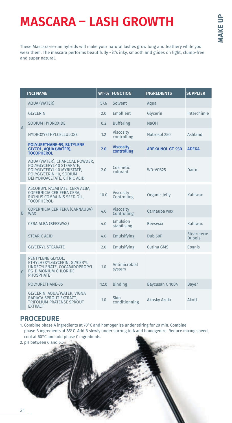# **MASCARA – LASH GROWTH**

These Mascara-serum hybrids will make your natural lashes grow long and feathery while you wear them. The mascara performs beautifully - it's inky, smooth and glides on light, clump-free and super natural.

|                | <b>INCI NAME</b>                                                                                                                                    | $WT-%$ | <b>FUNCTION</b>                 | <b>INGREDIENTS</b>      | <b>SUPPLIER</b>                     |
|----------------|-----------------------------------------------------------------------------------------------------------------------------------------------------|--------|---------------------------------|-------------------------|-------------------------------------|
| $\overline{A}$ | <b>AQUA (WATER)</b>                                                                                                                                 | 57.6   | Solvent                         | Aqua                    |                                     |
|                | <b>GLYCERIN</b>                                                                                                                                     | 2.0    | <b>Emollient</b>                | Glycerin                | Interchimie                         |
|                | SODIUM HYDROXIDE                                                                                                                                    | 0.2    | <b>Buffering</b>                | <b>NaOH</b>             |                                     |
|                | <b>HYDROXYETHYLCELLULOSE</b>                                                                                                                        | 1.2    | <b>Viscosity</b><br>controlling | Natrosol 250            | Ashland                             |
|                | POLYURETHANE-59, BUTYLENE<br><b>GLYCOL, AQUA (WATER),</b><br><b>TOCOPHEROL</b>                                                                      | 2.0    | <b>Viscosity</b><br>controlling | <b>ADEKA NOL GT-930</b> | <b>ADEKA</b>                        |
|                | AQUA (WATER), CHARCOAL POWDER,<br>POLYGLYCERYL-10 STEARATE.<br>POLYGLYCERYL-10 MYRISTATE,<br>POLYGLYCERIN-10, SODIUM<br>DEHYDROACETATE, CITRIC ACID | 2.0    | Cosmetic<br>colorant            | WD-VCB25                | Daito                               |
| B              | ASCORBYL PALMITATE, CERA ALBA,<br>COPERNICIA CERIFERA CERA,<br>RICINUS COMMUNIS SEED OIL,<br><b>TOCOPHEROL</b>                                      | 10.0   | Viscosity<br>Controlling        | Organic Jelly           | Kahlwax                             |
|                | COPERNICIA CERIFERA (CARNAUBA)<br><b>WAX</b>                                                                                                        | 4.0    | Viscosity<br>Controlling        | Carnauba wax            |                                     |
|                | <b>CERA ALBA (BEESWAX)</b>                                                                                                                          | 4.0    | Emulsion<br>stabilising         | <b>Beeswax</b>          | Kahlwax                             |
|                | <b>STEARIC ACID</b>                                                                                                                                 | 4.0    | Emulsifying                     | Dub <sub>50P</sub>      | <b>Stearinerie</b><br><b>Dubois</b> |
|                | <b>GLYCERYL STEARATE</b>                                                                                                                            | 2.0    | Emulsifying                     | Cutina GMS              | Cognis                              |
| $\mathsf{C}$   | PENTYLENE GLYCOL,<br>ETHYLHEXYLGLYCERIN, GLYCERYL<br>UNDECYLENATE, COCAMIDOPROPYL<br><b>PG-DIMONIUM CHLORIDE</b><br><b>PHOSPHATE</b>                | 1.0    | Antimicrobial<br>system         |                         |                                     |
|                | POLYURETHANE-35                                                                                                                                     | 12.0   | <b>Binding</b>                  | Baycusan C 1004         | <b>Bayer</b>                        |
|                | GLYCERIN, AQUA/WATER, VIGNA<br>RADIATA SPROUT EXTRACT.<br><b>TRIFOLIUM PRATENSE SPROUT</b><br><b>EXTRACT</b>                                        | 1.0    | <b>Skin</b><br>conditionning    | Akosky Azuki            | Akott                               |

- 1. Combine phase A ingredients at 70°C and homogenize under stiring for 20 min. Combine phase B ingredients at 85°C. Add B slowly under stirring to A and homogenize. Reduce mixing speed, cool at 60°C and add phase C ingredients.
- 2. pH between 6 and 6.5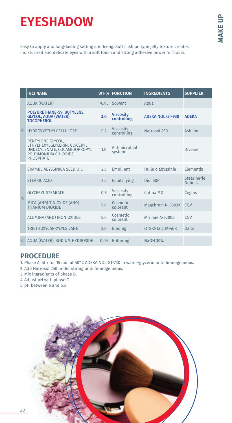# **EYESHADOW**

Easy to apply and long-lasting setting and fixing. Soft cushion type jelly texture creates moisturized and delicate eyes with a soft touch and strong adhesive power for hours.

|                | <b>INCI NAME</b>                                                                                                                     | $WT-%$ | <b>FUNCTION</b>                 | <b>INGREDIENTS</b>      | <b>SUPPLIER</b>              |
|----------------|--------------------------------------------------------------------------------------------------------------------------------------|--------|---------------------------------|-------------------------|------------------------------|
| $\overline{A}$ | <b>AQUA (WATER)</b>                                                                                                                  | 76.95  | Solvent                         | Aqua                    |                              |
|                | POLYURETHANE-59, BUTYLENE<br>GLYCOL, AQUA (WATER),<br><b>TOCOPHEROL</b>                                                              | 3.0    | <b>Viscosity</b><br>controlling | <b>ADEKA NOL GT-930</b> | <b>ADFKA</b>                 |
|                | <b>HYDROXYETHYLCELLULOSE</b>                                                                                                         | 0.2    | <b>Viscosity</b><br>controlling | Natrosol 250            | Ashland                      |
|                | PENTYLENE GLYCOL,<br>ETHYLHEXYLGLYCERIN, GLYCERYL<br>UNDECYLENATE, COCAMIDOPROPYL<br><b>PG-DIMONIUM CHLORIDE</b><br><b>PHOSPHATE</b> | 1.0    | Antimicrobial<br>system         |                         | <b>Diverse</b>               |
| <b>B</b>       | CRAMBE ABYSSINICA SEED OIL                                                                                                           | 2.5    | Emollient                       | Huile d'abyssinie       | <b>Elementis</b>             |
|                | <b>STEARIC ACID</b>                                                                                                                  | 3.5    | Emulsifying                     | Diol 50P                | Stearinerie<br><b>Dubois</b> |
|                | <b>GLYCERYL STEARATE</b>                                                                                                             | 0.8    | Viscosity<br>controlling        | Cutina MD               | Cognis                       |
|                | MICA (AND) TIN OXIDE (AND)<br><b>TITANIUM DIOXIDE</b>                                                                                | 5.0    | Cosmetic<br>colorant            | Magchrom N-5803K        | COV                          |
|                | ALUMINA (AND) IRON OXIDES                                                                                                            | 5.0    | Cosmetic<br>colorant            | Mirinae A-6200S         | COV                          |
|                | <b>TRIETHOXYCAPRYLYLSILANE</b>                                                                                                       | 2.0    | <b>Binding</b>                  | OTS-2-Talc JA-46R       | Daito                        |
|                | AQUA (WATER), SODIUM HYDROXIDE                                                                                                       | 0.05   | <b>Buffering</b>                | NaOH 30%                |                              |

## **PROCEDURE**

1. Phase A: Stir for 15 min at 50°C ADEKA NOL GT-730 in water+glycerin until homogeneous.

2. Add Natrosol 250 under stiring until homogeneous.

3. Mix ingredients of phase B.

4. Adjust pH with phase C.

5. pH between 6 and 6.5

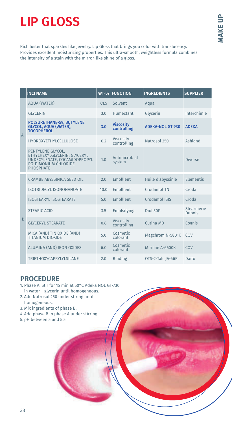# **LIP GLOSS**

Rich luster that sparkles like jewelry. Lip Gloss that brings you color with translucency. Provides excellent moisturizing properties. This ultra-smooth, weightless formula combines the intensity of a stain with the mirror-like shine of a gloss.

|                | <b>INCI NAME</b>                                                                                                                     | $WT-%$ | <b>FUNCTION</b>                 | <b>INGREDIENTS</b>      | <b>SUPPLIER</b>              |
|----------------|--------------------------------------------------------------------------------------------------------------------------------------|--------|---------------------------------|-------------------------|------------------------------|
| $\overline{A}$ | <b>AQUA (WATER)</b>                                                                                                                  | 61.5   | Solvent                         | Aqua                    |                              |
|                | <b>GLYCERIN</b>                                                                                                                      | 3.0    | Humectant                       | Glycerin                | Interchimie                  |
|                | POLYURETHANE-59, BUTYLENE<br>GLYCOL, AQUA (WATER),<br><b>TOCOPHEROL</b>                                                              | 3.0    | <b>Viscosity</b><br>controlling | <b>ADEKA-NOL GT 930</b> | <b>ADFKA</b>                 |
|                | <b>HYDROXYETHYLCELLULOSE</b>                                                                                                         | 0.2    | <b>Viscosity</b><br>controlling | Natrosol 250            | Ashland                      |
|                | PENTYLENE GLYCOL,<br>ETHYLHEXYLGLYCERIN, GLYCERYL<br>UNDECYLENATE, COCAMIDOPROPYL<br><b>PG-DIMONIUM CHLORIDE</b><br><b>PHOSPHATE</b> | 1.0    | Antimicrobial<br>system         |                         | <b>Diverse</b>               |
|                | <b>CRAMBE ABYSSINICA SEED OIL</b>                                                                                                    | 2.0    | Emollient                       | Huile d'abyssinie       | Elementis                    |
|                | <b>ISOTRIDECYL ISONONANOATE</b>                                                                                                      | 10.0   | Emollient                       | Crodamol TN             | Croda                        |
| B              | <b>ISOSTEARYL ISOSTEARATE</b>                                                                                                        | 5.0    | Emollient                       | Crodamol ISIS           | Croda                        |
|                | <b>STEARIC ACID</b>                                                                                                                  | 3.5    | Emulsifying                     | Diol 50P                | Stearinerie<br><b>Dubois</b> |
|                | <b>GLYCERYL STEARATE</b>                                                                                                             | 0.8    | Viscosity<br>controlling        | Cutina MD               | Cognis                       |
|                | MICA (AND) TIN OXIDE (AND)<br><b>TITANIUM DIOXIDE</b>                                                                                | 5.0    | Cosmetic<br>colorant            | Magchrom N-5801K        | COV                          |
|                | ALUMINA (AND) IRON OXIDES                                                                                                            | 6.0    | Cosmetic<br>colorant            | Mirinae A-6600K         | COV                          |
|                | <b>TRIETHOXYCAPRYLYLSILANE</b>                                                                                                       | 2.0    | <b>Binding</b>                  | OTS-2-Talc JA-46R       | Daito                        |

- 1. Phase A: Stir for 15 min at 50°C Adeka NOL GT-730 in water + glycerin until homogeneous.
- 2. Add Natrosol 250 under stiring until homogeneous.
- 3. Mix ingredients of phase B.
- 4. Add phase B in phase A under stirring.
- 5. pH between 5 and 5.5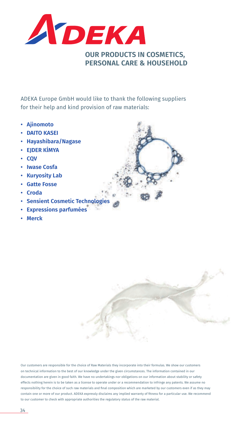

ADEKA Europe GmbH would like to thank the following suppliers for their help and kind provision of raw materials:

- **Ajinomoto**
- **DAITO KASEI**
- **Hayashibara/Nagase**
- **EJDER KİMYA**
- **CQV**
- **Iwase Cosfa**
- **Kuryosity Lab**
- **Gatte Fosse**
- **Croda**
- **Sensient Cosmetic Technologies**
- **Expressions parfumées**
- **Merck**

Our customers are responsible for the choice of Raw Materials they incorporate into their formulas. We show our customers on technical information to the best of our knowledge under the given circumstances. The information contained in our documentation are given in good faith. We have no undertakings nor obligations on our information about stability or safety effects nothing herein is to be taken as a license to operate under or a recommendation to infringe any patents. We assume no responsibility for the choice of such raw materials and final composition which are marketed by our customers even if as they may contain one or more of our product. ADEKA expressly disclaims any implied warranty of fitness for a particular use. We recommend to our customer to check with appropriate authorities the regulatory status of the raw material.